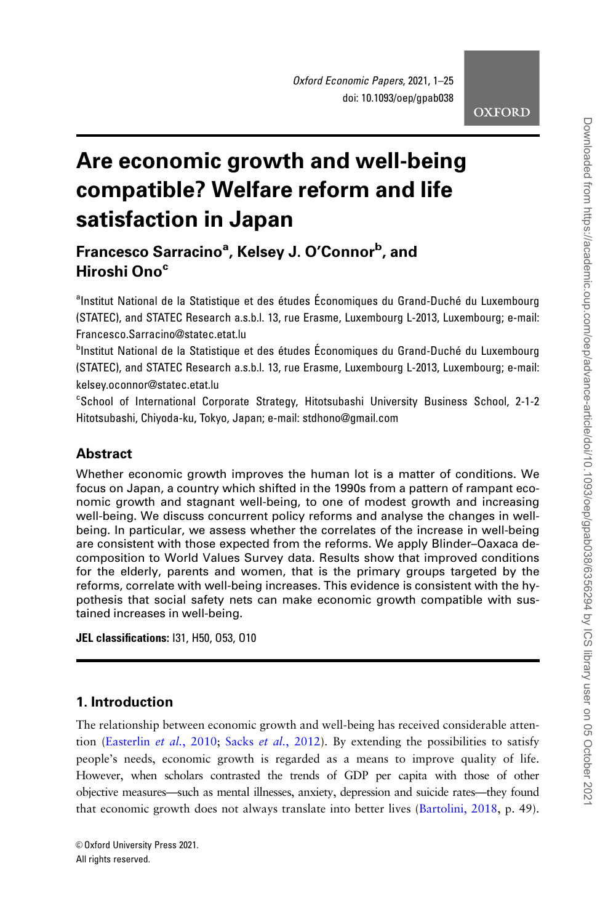# Are economic growth and well-being compatible? Welfare reform and life satisfaction in Japan

# Francesco Sarracino<sup>a</sup>, Kelsey J. O'Connor<sup>b</sup>, and Hiroshi Ono<sup>c</sup>

<sup>a</sup>Institut National de la Statistique et des études Économiques du Grand-Duché du Luxembourg (STATEC), and STATEC Research a.s.b.l. 13, rue Erasme, Luxembourg L-2013, Luxembourg; e-mail: Francesco.Sarracino@statec.etat.lu

<sup>b</sup>Institut National de la Statistique et des études Économiques du Grand-Duché du Luxembourg (STATEC), and STATEC Research a.s.b.l. 13, rue Erasme, Luxembourg L-2013, Luxembourg; e-mail: kelsey.oconnor@statec.etat.lu

<sup>c</sup>School of International Corporate Strategy, Hitotsubashi University Business School, 2-1-2 Hitotsubashi, Chiyoda-ku, Tokyo, Japan; e-mail: stdhono@gmail.com

# **Abstract**

Whether economic growth improves the human lot is a matter of conditions. We focus on Japan, a country which shifted in the 1990s from a pattern of rampant economic growth and stagnant well-being, to one of modest growth and increasing well-being. We discuss concurrent policy reforms and analyse the changes in wellbeing. In particular, we assess whether the correlates of the increase in well-being are consistent with those expected from the reforms. We apply Blinder–Oaxaca decomposition to World Values Survey data. Results show that improved conditions for the elderly, parents and women, that is the primary groups targeted by the reforms, correlate with well-being increases. This evidence is consistent with the hypothesis that social safety nets can make economic growth compatible with sustained increases in well-being.

JEL classifications: I31, H50, 053, 010

# 1. Introduction

The relationship between economic growth and well-being has received considerable atten-tion ([Easterlin](#page-22-0) *et al.*, 2010; Sacks *et al.*[, 2012](#page-24-0)). By extending the possibilities to satisfy people's needs, economic growth is regarded as a means to improve quality of life. However, when scholars contrasted the trends of GDP per capita with those of other objective measures—such as mental illnesses, anxiety, depression and suicide rates—they found that economic growth does not always translate into better lives [\(Bartolini, 2018](#page-21-0), p. 49).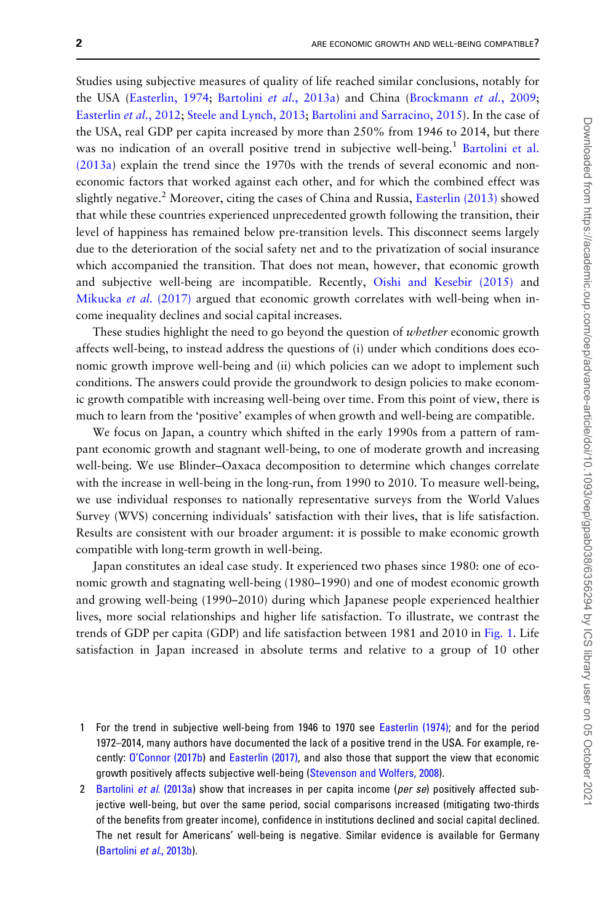Studies using subjective measures of quality of life reached similar conclusions, notably for the USA [\(Easterlin, 1974](#page-22-0); [Bartolini](#page-21-0) et al., 2013a) and China [\(Brockmann](#page-21-0) et al., 2009; [Easterlin](#page-22-0) et al., 2012; [Steele and Lynch, 2013](#page-24-0); [Bartolini and Sarracino, 2015](#page-21-0)). In the case of the USA, real GDP per capita increased by more than 250% from 1946 to 2014, but there was no indication of an overall positive trend in subjective well-being.<sup>1</sup> [Bartolini et al.](#page-21-0) [\(2013a\)](#page-21-0) explain the trend since the 1970s with the trends of several economic and noneconomic factors that worked against each other, and for which the combined effect was slightly negative.<sup>2</sup> Moreover, citing the cases of China and Russia, [Easterlin \(2013\)](#page-22-0) showed that while these countries experienced unprecedented growth following the transition, their level of happiness has remained below pre-transition levels. This disconnect seems largely due to the deterioration of the social safety net and to the privatization of social insurance which accompanied the transition. That does not mean, however, that economic growth and subjective well-being are incompatible. Recently, [Oishi and Kesebir \(2015\)](#page-23-0) and [Mikucka](#page-23-0) et al. (2017) argued that economic growth correlates with well-being when income inequality declines and social capital increases.

These studies highlight the need to go beyond the question of *whether* economic growth affects well-being, to instead address the questions of (i) under which conditions does economic growth improve well-being and (ii) which policies can we adopt to implement such conditions. The answers could provide the groundwork to design policies to make economic growth compatible with increasing well-being over time. From this point of view, there is much to learn from the 'positive' examples of when growth and well-being are compatible.

We focus on Japan, a country which shifted in the early 1990s from a pattern of rampant economic growth and stagnant well-being, to one of moderate growth and increasing well-being. We use Blinder–Oaxaca decomposition to determine which changes correlate with the increase in well-being in the long-run, from 1990 to 2010. To measure well-being, we use individual responses to nationally representative surveys from the World Values Survey (WVS) concerning individuals' satisfaction with their lives, that is life satisfaction. Results are consistent with our broader argument: it is possible to make economic growth compatible with long-term growth in well-being.

Japan constitutes an ideal case study. It experienced two phases since 1980: one of economic growth and stagnating well-being (1980–1990) and one of modest economic growth and growing well-being (1990–2010) during which Japanese people experienced healthier lives, more social relationships and higher life satisfaction. To illustrate, we contrast the trends of GDP per capita (GDP) and life satisfaction between 1981 and 2010 in [Fig. 1.](#page-2-0) Life satisfaction in Japan increased in absolute terms and relative to a group of 10 other

- 1 For the trend in subjective well-being from 1946 to 1970 see [Easterlin \(1974\)](#page-22-0); and for the period 1972–2014, many authors have documented the lack of a positive trend in the USA. For example, recently: [O'Connor \(2017b\)](#page-23-0) and [Easterlin \(2017\)](#page-22-0), and also those that support the view that economic growth positively affects subjective well-being ([Stevenson and Wolfers, 2008](#page-24-0)).
- 2 [Bartolini](#page-21-0) et al. (2013a) show that increases in per capita income (per se) positively affected subjective well-being, but over the same period, social comparisons increased (mitigating two-thirds of the benefits from greater income), confidence in institutions declined and social capital declined. The net result for Americans' well-being is negative. Similar evidence is available for Germany [\(Bartolini](#page-21-0) et al., 2013b).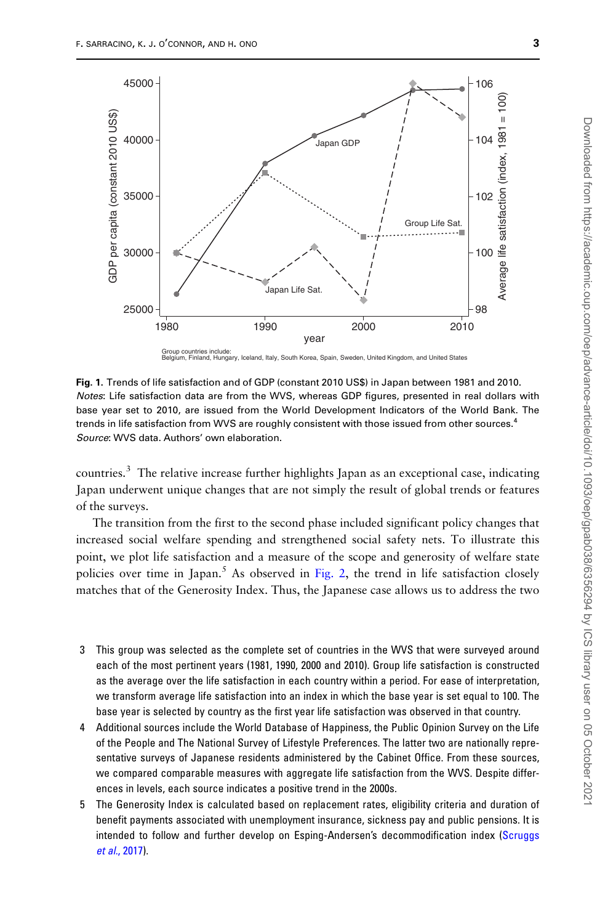<span id="page-2-0"></span>

Group countries include: Belgium, Finland, Hungary, Iceland, Italy, South Korea, Spain, Sweden, United Kingdom, and United States

Fig. 1. Trends of life satisfaction and of GDP (constant 2010 US\$) in Japan between 1981 and 2010. Notes: Life satisfaction data are from the WVS, whereas GDP figures, presented in real dollars with base year set to 2010, are issued from the World Development Indicators of the World Bank. The trends in life satisfaction from WVS are roughly consistent with those issued from other sources.<sup>4</sup> Source: WVS data. Authors' own elaboration.

countries.<sup>3</sup> The relative increase further highlights Japan as an exceptional case, indicating Japan underwent unique changes that are not simply the result of global trends or features of the surveys.

The transition from the first to the second phase included significant policy changes that increased social welfare spending and strengthened social safety nets. To illustrate this point, we plot life satisfaction and a measure of the scope and generosity of welfare state policies over time in Japan.<sup>5</sup> As observed in [Fig. 2](#page-3-0), the trend in life satisfaction closely matches that of the Generosity Index. Thus, the Japanese case allows us to address the two

- 3 This group was selected as the complete set of countries in the WVS that were surveyed around each of the most pertinent years (1981, 1990, 2000 and 2010). Group life satisfaction is constructed as the average over the life satisfaction in each country within a period. For ease of interpretation, we transform average life satisfaction into an index in which the base year is set equal to 100. The base year is selected by country as the first year life satisfaction was observed in that country.
- 4 Additional sources include the World Database of Happiness, the Public Opinion Survey on the Life of the People and The National Survey of Lifestyle Preferences. The latter two are nationally representative surveys of Japanese residents administered by the Cabinet Office. From these sources, we compared comparable measures with aggregate life satisfaction from the WVS. Despite differences in levels, each source indicates a positive trend in the 2000s.
- 5 The Generosity Index is calculated based on replacement rates, eligibility criteria and duration of benefit payments associated with unemployment insurance, sickness pay and public pensions. It is intended to follow and further develop on Esping-Andersen's decommodification index [\(Scruggs](#page-24-0) et al.[, 2017\)](#page-24-0).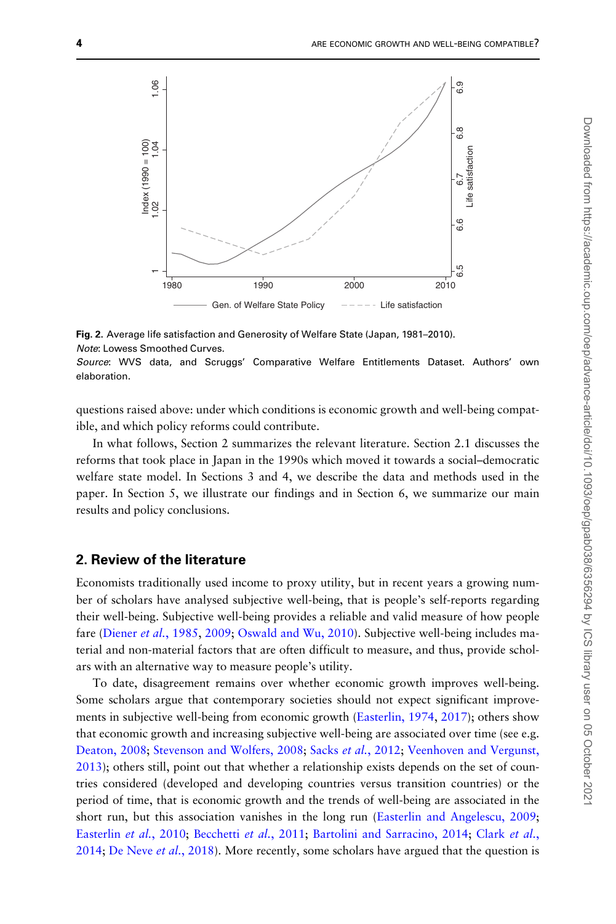<span id="page-3-0"></span>

Fig. 2. Average life satisfaction and Generosity of Welfare State (Japan, 1981–2010). Note: Lowess Smoothed Curves.

Source: WVS data, and Scruggs' Comparative Welfare Entitlements Dataset. Authors' own elaboration.

questions raised above: under which conditions is economic growth and well-being compatible, and which policy reforms could contribute.

In what follows, Section 2 summarizes the relevant literature. Section 2.1 discusses the reforms that took place in Japan in the 1990s which moved it towards a social–democratic welfare state model. In Sections 3 and 4, we describe the data and methods used in the paper. In Section 5, we illustrate our findings and in Section 6, we summarize our main results and policy conclusions.

# 2. Review of the literature

Economists traditionally used income to proxy utility, but in recent years a growing number of scholars have analysed subjective well-being, that is people's self-reports regarding their well-being. Subjective well-being provides a reliable and valid measure of how people fare ([Diener](#page-21-0) et al., 1985, [2009](#page-22-0); [Oswald and Wu, 2010](#page-24-0)). Subjective well-being includes material and non-material factors that are often difficult to measure, and thus, provide scholars with an alternative way to measure people's utility.

To date, disagreement remains over whether economic growth improves well-being. Some scholars argue that contemporary societies should not expect significant improvements in subjective well-being from economic growth [\(Easterlin, 1974](#page-22-0), [2017\)](#page-22-0); others show that economic growth and increasing subjective well-being are associated over time (see e.g. [Deaton, 2008](#page-21-0); [Stevenson and Wolfers, 2008;](#page-24-0) Sacks et al.[, 2012;](#page-24-0) [Veenhoven and Vergunst,](#page-24-0) [2013](#page-24-0)); others still, point out that whether a relationship exists depends on the set of countries considered (developed and developing countries versus transition countries) or the period of time, that is economic growth and the trends of well-being are associated in the short run, but this association vanishes in the long run ([Easterlin and Angelescu, 2009](#page-22-0); [Easterlin](#page-22-0) et al., 2010; [Becchetti](#page-21-0) et al., 2011; [Bartolini and Sarracino, 2014;](#page-21-0) [Clark](#page-21-0) et al.,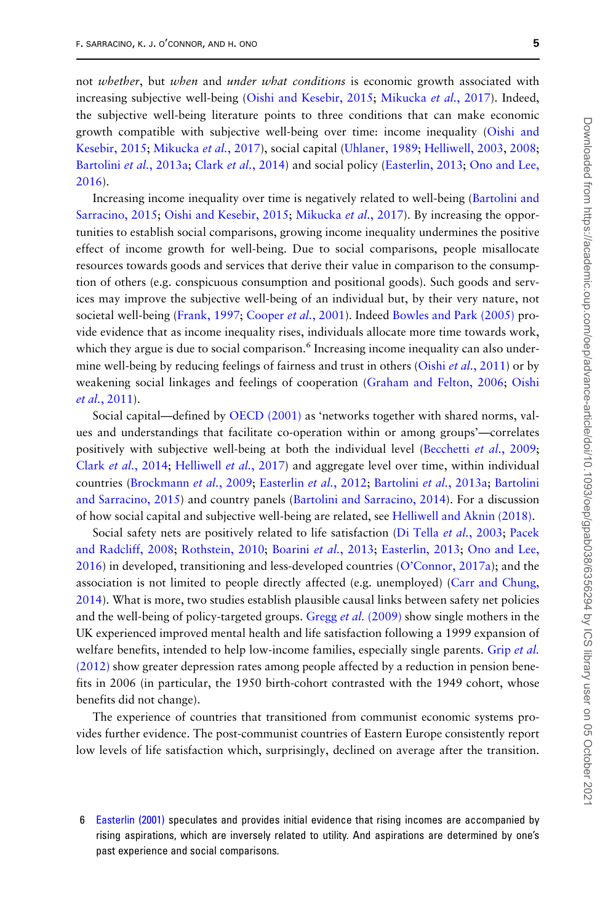not whether, but when and under what conditions is economic growth associated with increasing subjective well-being [\(Oishi and Kesebir, 2015](#page-23-0); [Mikucka](#page-23-0) et al., 2017). Indeed, the subjective well-being literature points to three conditions that can make economic growth compatible with subjective well-being over time: income inequality ([Oishi and](#page-23-0) [Kesebir, 2015;](#page-23-0) [Mikucka](#page-23-0) et al., 2017), social capital ([Uhlaner, 1989](#page-24-0); [Helliwell, 2003,](#page-22-0) [2008](#page-22-0); [Bartolini](#page-21-0) et al., 2013a; Clark et al.[, 2014\)](#page-21-0) and social policy ([Easterlin, 2013;](#page-22-0) [Ono and Lee,](#page-23-0) [2016](#page-23-0)).

Increasing income inequality over time is negatively related to well-being [\(Bartolini and](#page-21-0) [Sarracino, 2015](#page-21-0); [Oishi and Kesebir, 2015;](#page-23-0) [Mikucka](#page-23-0) et al., 2017). By increasing the opportunities to establish social comparisons, growing income inequality undermines the positive effect of income growth for well-being. Due to social comparisons, people misallocate resources towards goods and services that derive their value in comparison to the consumption of others (e.g. conspicuous consumption and positional goods). Such goods and services may improve the subjective well-being of an individual but, by their very nature, not societal well-being [\(Frank, 1997](#page-22-0); [Cooper](#page-21-0) et al., 2001). Indeed [Bowles and Park \(2005\)](#page-21-0) provide evidence that as income inequality rises, individuals allocate more time towards work, which they argue is due to social comparison.<sup>6</sup> Increasing income inequality can also undermine well-being by reducing feelings of fairness and trust in others (Oishi *et al.*[, 2011\)](#page-23-0) or by weakening social linkages and feelings of cooperation ([Graham and Felton, 2006;](#page-22-0) [Oishi](#page-23-0) et al.[, 2011\)](#page-23-0).

Social capital—defined by [OECD \(2001\)](#page-23-0) as 'networks together with shared norms, values and understandings that facilitate co-operation within or among groups'—correlates positively with subjective well-being at both the individual level [\(Becchetti](#page-21-0) et al., 2009; Clark et al.[, 2014;](#page-21-0) [Helliwell](#page-23-0) et al., 2017) and aggregate level over time, within individual countries ([Brockmann](#page-21-0) et al., 2009; [Easterlin](#page-22-0) et al., 2012; [Bartolini](#page-21-0) et al., 2013a; [Bartolini](#page-21-0) [and Sarracino, 2015\)](#page-21-0) and country panels ([Bartolini and Sarracino, 2014](#page-21-0)). For a discussion of how social capital and subjective well-being are related, see [Helliwell and Aknin \(2018\)](#page-22-0).

Social safety nets are positively related to life satisfaction [\(Di Tella](#page-21-0) et al., 2003; [Pacek](#page-24-0) [and Radcliff, 2008;](#page-24-0) [Rothstein, 2010](#page-24-0); [Boarini](#page-21-0) et al., 2013; [Easterlin, 2013;](#page-22-0) [Ono and Lee,](#page-23-0)  $2016$ ) in developed, transitioning and less-developed countries ([O'Connor, 2017a\)](#page-23-0); and the association is not limited to people directly affected (e.g. unemployed) ([Carr and Chung,](#page-21-0) [2014](#page-21-0)). What is more, two studies establish plausible causal links between safety net policies and the well-being of policy-targeted groups. Gregg *et al.* [\(2009\)](#page-22-0) show single mothers in the UK experienced improved mental health and life satisfaction following a 1999 expansion of welfare benefits, intended to help low-income families, especially single parents. Grip [et al.](#page-22-0) [\(2012\)](#page-22-0) show greater depression rates among people affected by a reduction in pension benefits in 2006 (in particular, the 1950 birth-cohort contrasted with the 1949 cohort, whose benefits did not change).

The experience of countries that transitioned from communist economic systems provides further evidence. The post-communist countries of Eastern Europe consistently report low levels of life satisfaction which, surprisingly, declined on average after the transition.

6 [Easterlin \(2001\)](#page-22-0) speculates and provides initial evidence that rising incomes are accompanied by rising aspirations, which are inversely related to utility. And aspirations are determined by one's past experience and social comparisons.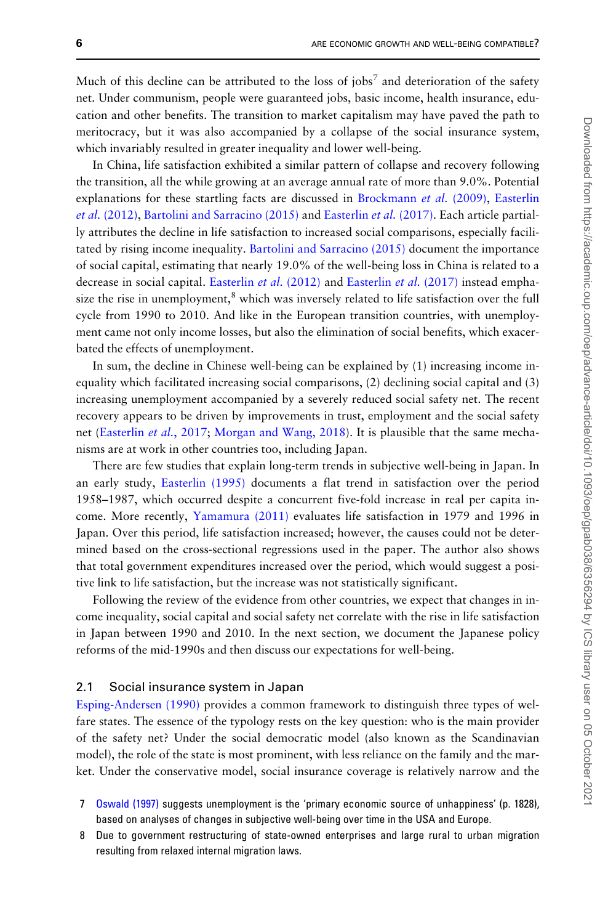Much of this decline can be attributed to the loss of jobs<sup>7</sup> and deterioration of the safety net. Under communism, people were guaranteed jobs, basic income, health insurance, education and other benefits. The transition to market capitalism may have paved the path to meritocracy, but it was also accompanied by a collapse of the social insurance system, which invariably resulted in greater inequality and lower well-being.

In China, life satisfaction exhibited a similar pattern of collapse and recovery following the transition, all the while growing at an average annual rate of more than 9.0%. Potential explanations for these startling facts are discussed in [Brockmann](#page-21-0) et al.  $(2009)$ , [Easterlin](#page-22-0) et al. [\(2012\),](#page-22-0) [Bartolini and Sarracino \(2015\)](#page-21-0) and [Easterlin](#page-22-0) et al. (2017). Each article partially attributes the decline in life satisfaction to increased social comparisons, especially facilitated by rising income inequality. [Bartolini and Sarracino \(2015\)](#page-21-0) document the importance of social capital, estimating that nearly 19.0% of the well-being loss in China is related to a decrease in social capital. [Easterlin](#page-22-0) et al. (2012) and Easterlin et al. (2017) instead emphasize the rise in unemployment, ${}^{8}$  which was inversely related to life satisfaction over the full cycle from 1990 to 2010. And like in the European transition countries, with unemployment came not only income losses, but also the elimination of social benefits, which exacerbated the effects of unemployment.

In sum, the decline in Chinese well-being can be explained by (1) increasing income inequality which facilitated increasing social comparisons, (2) declining social capital and (3) increasing unemployment accompanied by a severely reduced social safety net. The recent recovery appears to be driven by improvements in trust, employment and the social safety net ([Easterlin](#page-22-0) et al., 2017; [Morgan and Wang, 2018](#page-23-0)). It is plausible that the same mechanisms are at work in other countries too, including Japan.

There are few studies that explain long-term trends in subjective well-being in Japan. In an early study, [Easterlin \(1995\)](#page-22-0) documents a flat trend in satisfaction over the period 1958–1987, which occurred despite a concurrent five-fold increase in real per capita income. More recently, [Yamamura \(2011\)](#page-24-0) evaluates life satisfaction in 1979 and 1996 in Japan. Over this period, life satisfaction increased; however, the causes could not be determined based on the cross-sectional regressions used in the paper. The author also shows that total government expenditures increased over the period, which would suggest a positive link to life satisfaction, but the increase was not statistically significant.

Following the review of the evidence from other countries, we expect that changes in income inequality, social capital and social safety net correlate with the rise in life satisfaction in Japan between 1990 and 2010. In the next section, we document the Japanese policy reforms of the mid-1990s and then discuss our expectations for well-being.

#### 2.1 Social insurance system in Japan

[Esping-Andersen \(1990\)](#page-22-0) provides a common framework to distinguish three types of welfare states. The essence of the typology rests on the key question: who is the main provider of the safety net? Under the social democratic model (also known as the Scandinavian model), the role of the state is most prominent, with less reliance on the family and the market. Under the conservative model, social insurance coverage is relatively narrow and the

- 7 [Oswald \(1997\)](#page-24-0) suggests unemployment is the 'primary economic source of unhappiness' (p. 1828), based on analyses of changes in subjective well-being over time in the USA and Europe.
- 8 Due to government restructuring of state-owned enterprises and large rural to urban migration resulting from relaxed internal migration laws.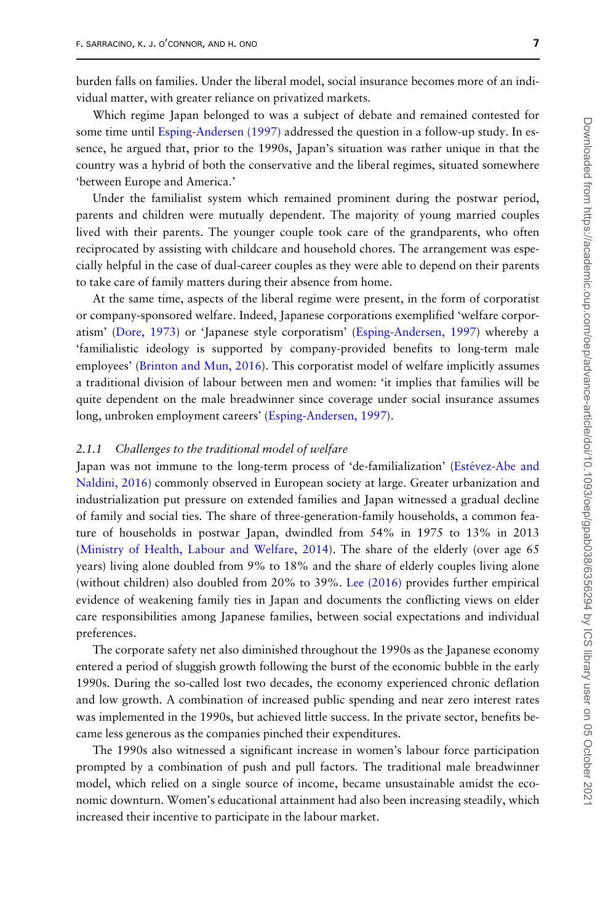burden falls on families. Under the liberal model, social insurance becomes more of an individual matter, with greater reliance on privatized markets.

Which regime Japan belonged to was a subject of debate and remained contested for some time until [Esping-Andersen \(1997\)](#page-22-0) addressed the question in a follow-up study. In essence, he argued that, prior to the 1990s, Japan's situation was rather unique in that the country was a hybrid of both the conservative and the liberal regimes, situated somewhere 'between Europe and America.'

Under the familialist system which remained prominent during the postwar period, parents and children were mutually dependent. The majority of young married couples lived with their parents. The younger couple took care of the grandparents, who often reciprocated by assisting with childcare and household chores. The arrangement was especially helpful in the case of dual-career couples as they were able to depend on their parents to take care of family matters during their absence from home.

At the same time, aspects of the liberal regime were present, in the form of corporatist or company-sponsored welfare. Indeed, Japanese corporations exemplified 'welfare corporatism' [\(Dore, 1973](#page-22-0)) or 'Japanese style corporatism' ([Esping-Andersen, 1997](#page-22-0)) whereby a 'familialistic ideology is supported by company-provided benefits to long-term male employees' [\(Brinton and Mun, 2016\)](#page-21-0). This corporatist model of welfare implicitly assumes a traditional division of labour between men and women: 'it implies that families will be quite dependent on the male breadwinner since coverage under social insurance assumes long, unbroken employment careers' ([Esping-Andersen, 1997\)](#page-22-0).

#### 2.1.1 Challenges to the traditional model of welfare

Japan was not immune to the long-term process of 'de-familialization' (Estévez-Abe and [Naldini, 2016](#page-22-0)) commonly observed in European society at large. Greater urbanization and industrialization put pressure on extended families and Japan witnessed a gradual decline of family and social ties. The share of three-generation-family households, a common feature of households in postwar Japan, dwindled from 54% in 1975 to 13% in 2013 [\(Ministry of Health, Labour and Welfare, 2014](#page-23-0)). The share of the elderly (over age 65 years) living alone doubled from 9% to 18% and the share of elderly couples living alone (without children) also doubled from 20% to 39%. [Lee \(2016\)](#page-23-0) provides further empirical evidence of weakening family ties in Japan and documents the conflicting views on elder care responsibilities among Japanese families, between social expectations and individual preferences.

The corporate safety net also diminished throughout the 1990s as the Japanese economy entered a period of sluggish growth following the burst of the economic bubble in the early 1990s. During the so-called lost two decades, the economy experienced chronic deflation and low growth. A combination of increased public spending and near zero interest rates was implemented in the 1990s, but achieved little success. In the private sector, benefits became less generous as the companies pinched their expenditures.

The 1990s also witnessed a significant increase in women's labour force participation prompted by a combination of push and pull factors. The traditional male breadwinner model, which relied on a single source of income, became unsustainable amidst the economic downturn. Women's educational attainment had also been increasing steadily, which increased their incentive to participate in the labour market.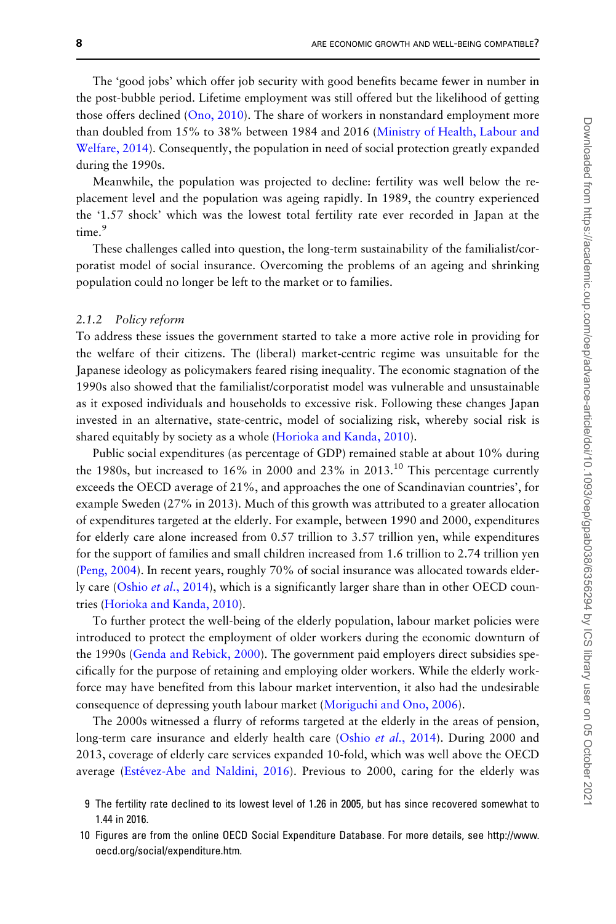The 'good jobs' which offer job security with good benefits became fewer in number in the post-bubble period. Lifetime employment was still offered but the likelihood of getting those offers declined [\(Ono, 2010](#page-23-0)). The share of workers in nonstandard employment more than doubled from 15% to 38% between 1984 and 2016 ([Ministry of Health, Labour and](#page-23-0) [Welfare, 2014\)](#page-23-0). Consequently, the population in need of social protection greatly expanded during the 1990s.

Meanwhile, the population was projected to decline: fertility was well below the replacement level and the population was ageing rapidly. In 1989, the country experienced the '1.57 shock' which was the lowest total fertility rate ever recorded in Japan at the time.<sup>9</sup>

These challenges called into question, the long-term sustainability of the familialist/corporatist model of social insurance. Overcoming the problems of an ageing and shrinking population could no longer be left to the market or to families.

#### 2.1.2 Policy reform

To address these issues the government started to take a more active role in providing for the welfare of their citizens. The (liberal) market-centric regime was unsuitable for the Japanese ideology as policymakers feared rising inequality. The economic stagnation of the 1990s also showed that the familialist/corporatist model was vulnerable and unsustainable as it exposed individuals and households to excessive risk. Following these changes Japan invested in an alternative, state-centric, model of socializing risk, whereby social risk is shared equitably by society as a whole [\(Horioka and Kanda, 2010\)](#page-23-0).

Public social expenditures (as percentage of GDP) remained stable at about 10% during the 1980s, but increased to  $16\%$  in 2000 and  $23\%$  in  $2013$ .<sup>10</sup> This percentage currently exceeds the OECD average of 21%, and approaches the one of Scandinavian countries', for example Sweden (27% in 2013). Much of this growth was attributed to a greater allocation of expenditures targeted at the elderly. For example, between 1990 and 2000, expenditures for elderly care alone increased from 0.57 trillion to 3.57 trillion yen, while expenditures for the support of families and small children increased from 1.6 trillion to 2.74 trillion yen [\(Peng, 2004](#page-24-0)). In recent years, roughly 70% of social insurance was allocated towards elder-ly care (Oshio et al.[, 2014](#page-24-0)), which is a significantly larger share than in other OECD countries [\(Horioka and Kanda, 2010](#page-23-0)).

To further protect the well-being of the elderly population, labour market policies were introduced to protect the employment of older workers during the economic downturn of the 1990s ([Genda and Rebick, 2000](#page-22-0)). The government paid employers direct subsidies specifically for the purpose of retaining and employing older workers. While the elderly workforce may have benefited from this labour market intervention, it also had the undesirable consequence of depressing youth labour market ([Moriguchi and Ono, 2006](#page-23-0)).

The 2000s witnessed a flurry of reforms targeted at the elderly in the areas of pension, long-term care insurance and elderly health care (Oshio et al.[, 2014\)](#page-24-0). During 2000 and 2013, coverage of elderly care services expanded 10-fold, which was well above the OECD average (Estévez-Abe and Naldini,  $2016$ ). Previous to 2000, caring for the elderly was

<sup>9</sup> The fertility rate declined to its lowest level of 1.26 in 2005, but has since recovered somewhat to 1.44 in 2016.

<sup>10</sup> Figures are from the online OECD Social Expenditure Database. For more details, see [http://www.](http://www.oecd.org/social/expenditure.htm) [oecd.org/social/expenditure.htm](http://www.oecd.org/social/expenditure.htm).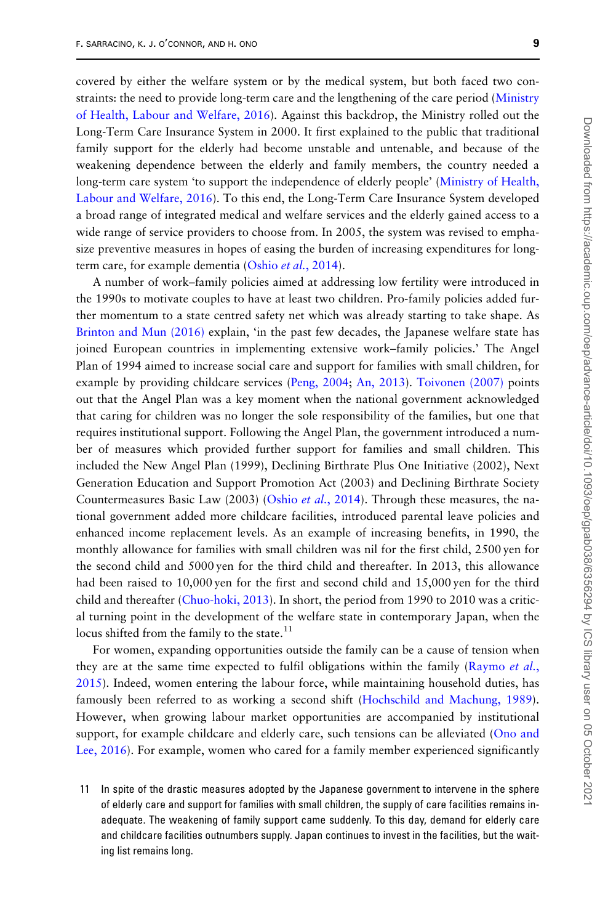covered by either the welfare system or by the medical system, but both faced two constraints: the need to provide long-term care and the lengthening of the care period [\(Ministry](#page-23-0) [of Health, Labour and Welfare, 2016](#page-23-0)). Against this backdrop, the Ministry rolled out the Long-Term Care Insurance System in 2000. It first explained to the public that traditional family support for the elderly had become unstable and untenable, and because of the weakening dependence between the elderly and family members, the country needed a long-term care system 'to support the independence of elderly people' ([Ministry of Health,](#page-23-0) [Labour and Welfare, 2016\)](#page-23-0). To this end, the Long-Term Care Insurance System developed a broad range of integrated medical and welfare services and the elderly gained access to a wide range of service providers to choose from. In 2005, the system was revised to emphasize preventive measures in hopes of easing the burden of increasing expenditures for long-term care, for example dementia (Oshio et al.[, 2014\)](#page-24-0).

A number of work–family policies aimed at addressing low fertility were introduced in the 1990s to motivate couples to have at least two children. Pro-family policies added further momentum to a state centred safety net which was already starting to take shape. As [Brinton and Mun \(2016\)](#page-21-0) explain, 'in the past few decades, the Japanese welfare state has joined European countries in implementing extensive work–family policies.' The Angel Plan of 1994 aimed to increase social care and support for families with small children, for example by providing childcare services ([Peng, 2004;](#page-24-0) [An, 2013](#page-20-0)). [Toivonen \(2007\)](#page-24-0) points out that the Angel Plan was a key moment when the national government acknowledged that caring for children was no longer the sole responsibility of the families, but one that requires institutional support. Following the Angel Plan, the government introduced a number of measures which provided further support for families and small children. This included the New Angel Plan (1999), Declining Birthrate Plus One Initiative (2002), Next Generation Education and Support Promotion Act (2003) and Declining Birthrate Society Countermeasures Basic Law (2003) (Oshio et al.[, 2014](#page-24-0)). Through these measures, the national government added more childcare facilities, introduced parental leave policies and enhanced income replacement levels. As an example of increasing benefits, in 1990, the monthly allowance for families with small children was nil for the first child, 2500 yen for the second child and 5000 yen for the third child and thereafter. In 2013, this allowance had been raised to 10,000 yen for the first and second child and 15,000 yen for the third child and thereafter ([Chuo-hoki, 2013](#page-21-0)). In short, the period from 1990 to 2010 was a critical turning point in the development of the welfare state in contemporary Japan, when the locus shifted from the family to the state.<sup>11</sup>

For women, expanding opportunities outside the family can be a cause of tension when they are at the same time expected to fulfil obligations within the family ([Raymo](#page-24-0) *et al.*, [2015](#page-24-0)). Indeed, women entering the labour force, while maintaining household duties, has famously been referred to as working a second shift [\(Hochschild and Machung, 1989](#page-23-0)). However, when growing labour market opportunities are accompanied by institutional support, for example childcare and elderly care, such tensions can be alleviated ([Ono and](#page-23-0) [Lee, 2016](#page-23-0)). For example, women who cared for a family member experienced significantly

11 In spite of the drastic measures adopted by the Japanese government to intervene in the sphere of elderly care and support for families with small children, the supply of care facilities remains inadequate. The weakening of family support came suddenly. To this day, demand for elderly care and childcare facilities outnumbers supply. Japan continues to invest in the facilities, but the waiting list remains long.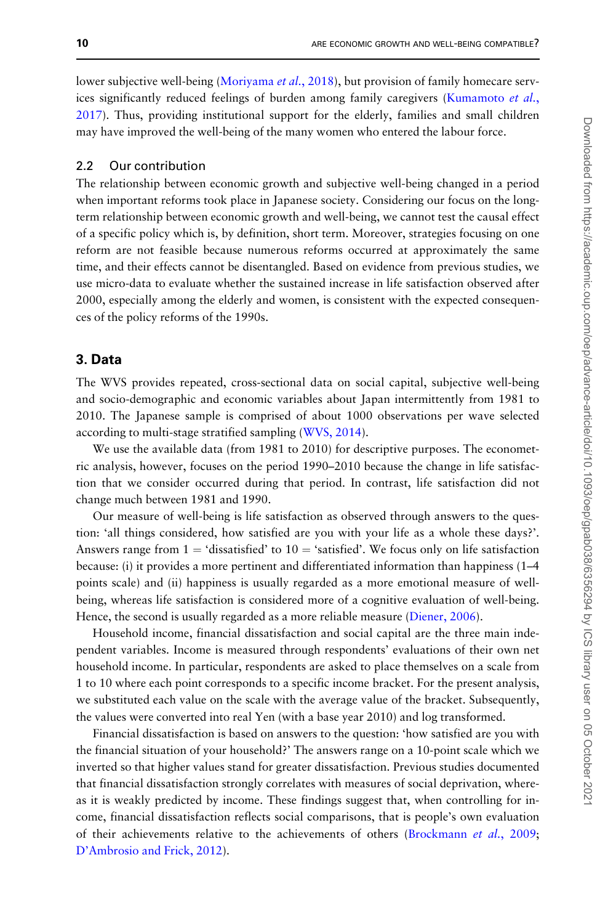lower subjective well-being [\(Moriyama](#page-23-0) et al., 2018), but provision of family homecare serv-ices significantly reduced feelings of burden among family caregivers [\(Kumamoto](#page-23-0) et al., [2017](#page-23-0)). Thus, providing institutional support for the elderly, families and small children may have improved the well-being of the many women who entered the labour force.

#### 2.2 Our contribution

The relationship between economic growth and subjective well-being changed in a period when important reforms took place in Japanese society. Considering our focus on the longterm relationship between economic growth and well-being, we cannot test the causal effect of a specific policy which is, by definition, short term. Moreover, strategies focusing on one reform are not feasible because numerous reforms occurred at approximately the same time, and their effects cannot be disentangled. Based on evidence from previous studies, we use micro-data to evaluate whether the sustained increase in life satisfaction observed after 2000, especially among the elderly and women, is consistent with the expected consequences of the policy reforms of the 1990s.

# 3. Data

The WVS provides repeated, cross-sectional data on social capital, subjective well-being and socio-demographic and economic variables about Japan intermittently from 1981 to 2010. The Japanese sample is comprised of about 1000 observations per wave selected according to multi-stage stratified sampling ([WVS, 2014\)](#page-24-0).

We use the available data (from 1981 to 2010) for descriptive purposes. The econometric analysis, however, focuses on the period 1990–2010 because the change in life satisfaction that we consider occurred during that period. In contrast, life satisfaction did not change much between 1981 and 1990.

Our measure of well-being is life satisfaction as observed through answers to the question: 'all things considered, how satisfied are you with your life as a whole these days?'. Answers range from  $1 = 'dissatisfied'$  to  $10 = 'satisfied'.$  We focus only on life satisfaction because: (i) it provides a more pertinent and differentiated information than happiness (1–4 points scale) and (ii) happiness is usually regarded as a more emotional measure of wellbeing, whereas life satisfaction is considered more of a cognitive evaluation of well-being. Hence, the second is usually regarded as a more reliable measure [\(Diener, 2006](#page-21-0)).

Household income, financial dissatisfaction and social capital are the three main independent variables. Income is measured through respondents' evaluations of their own net household income. In particular, respondents are asked to place themselves on a scale from 1 to 10 where each point corresponds to a specific income bracket. For the present analysis, we substituted each value on the scale with the average value of the bracket. Subsequently, the values were converted into real Yen (with a base year 2010) and log transformed.

Financial dissatisfaction is based on answers to the question: 'how satisfied are you with the financial situation of your household?' The answers range on a 10-point scale which we inverted so that higher values stand for greater dissatisfaction. Previous studies documented that financial dissatisfaction strongly correlates with measures of social deprivation, whereas it is weakly predicted by income. These findings suggest that, when controlling for income, financial dissatisfaction reflects social comparisons, that is people's own evaluation of their achievements relative to the achievements of others [\(Brockmann](#page-21-0) et al., 2009; [D'Ambrosio and Frick, 2012\)](#page-21-0).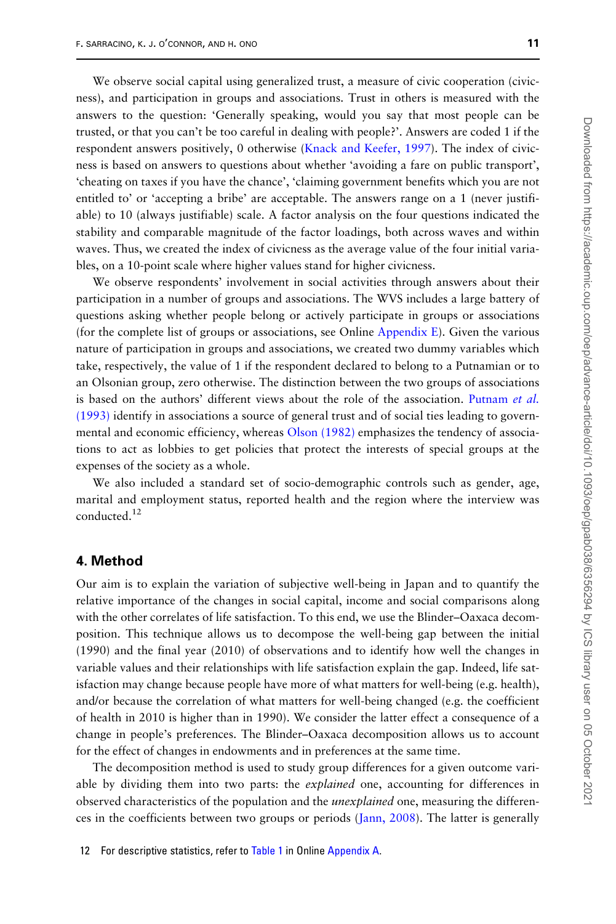We observe social capital using generalized trust, a measure of civic cooperation (civicness), and participation in groups and associations. Trust in others is measured with the answers to the question: 'Generally speaking, would you say that most people can be trusted, or that you can't be too careful in dealing with people?'. Answers are coded 1 if the respondent answers positively, 0 otherwise ([Knack and Keefer, 1997](#page-23-0)). The index of civicness is based on answers to questions about whether 'avoiding a fare on public transport', 'cheating on taxes if you have the chance', 'claiming government benefits which you are not entitled to' or 'accepting a bribe' are acceptable. The answers range on a 1 (never justifiable) to 10 (always justifiable) scale. A factor analysis on the four questions indicated the stability and comparable magnitude of the factor loadings, both across waves and within waves. Thus, we created the index of civicness as the average value of the four initial variables, on a 10-point scale where higher values stand for higher civicness.

We observe respondents' involvement in social activities through answers about their participation in a number of groups and associations. The WVS includes a large battery of questions asking whether people belong or actively participate in groups or associations (for the complete list of groups or associations, see Online [Appendix E\)](https://academic.oup.com/oep/article-lookup/doi/10.1093/oep/gpab038#supplementary-data). Given the various nature of participation in groups and associations, we created two dummy variables which take, respectively, the value of 1 if the respondent declared to belong to a Putnamian or to an Olsonian group, zero otherwise. The distinction between the two groups of associations is based on the authors' different views about the role of the association. [Putnam](#page-24-0) et al. [\(1993\)](#page-24-0) identify in associations a source of general trust and of social ties leading to governmental and economic efficiency, whereas [Olson \(1982\)](#page-23-0) emphasizes the tendency of associations to act as lobbies to get policies that protect the interests of special groups at the expenses of the society as a whole.

We also included a standard set of socio-demographic controls such as gender, age, marital and employment status, reported health and the region where the interview was conducted.<sup>12</sup>

## 4. Method

Our aim is to explain the variation of subjective well-being in Japan and to quantify the relative importance of the changes in social capital, income and social comparisons along with the other correlates of life satisfaction. To this end, we use the Blinder–Oaxaca decomposition. This technique allows us to decompose the well-being gap between the initial (1990) and the final year (2010) of observations and to identify how well the changes in variable values and their relationships with life satisfaction explain the gap. Indeed, life satisfaction may change because people have more of what matters for well-being (e.g. health), and/or because the correlation of what matters for well-being changed (e.g. the coefficient of health in 2010 is higher than in 1990). We consider the latter effect a consequence of a change in people's preferences. The Blinder–Oaxaca decomposition allows us to account for the effect of changes in endowments and in preferences at the same time.

The decomposition method is used to study group differences for a given outcome variable by dividing them into two parts: the *explained* one, accounting for differences in observed characteristics of the population and the *unexplained* one, measuring the differences in the coefficients between two groups or periods ([Jann, 2008\)](#page-23-0). The latter is generally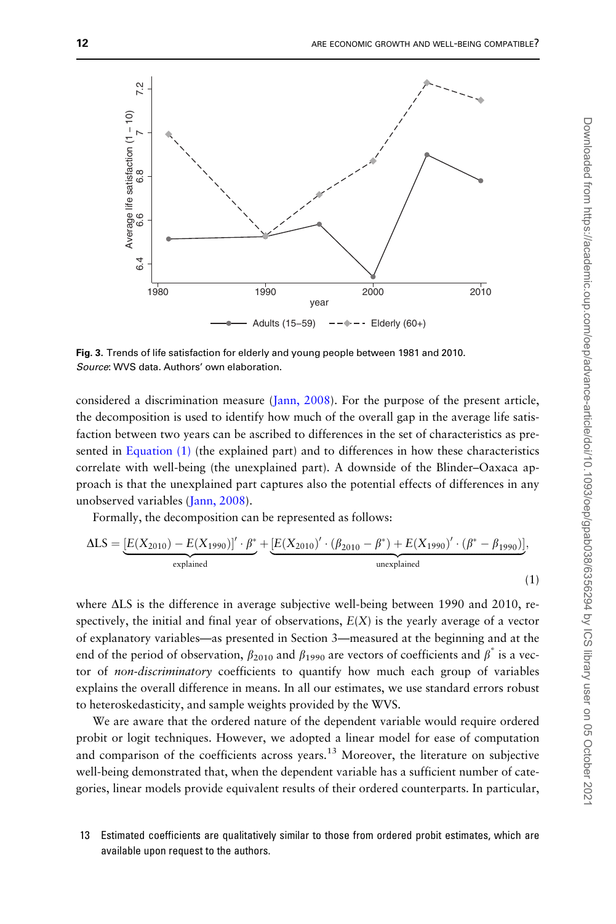<span id="page-11-0"></span>

Fig. 3. Trends of life satisfaction for elderly and young people between 1981 and 2010. Source: WVS data. Authors' own elaboration.

considered a discrimination measure [\(Jann, 2008](#page-23-0)). For the purpose of the present article, the decomposition is used to identify how much of the overall gap in the average life satisfaction between two years can be ascribed to differences in the set of characteristics as presented in Equation (1) (the explained part) and to differences in how these characteristics correlate with well-being (the unexplained part). A downside of the Blinder–Oaxaca approach is that the unexplained part captures also the potential effects of differences in any unobserved variables [\(Jann, 2008](#page-23-0)).

Formally, the decomposition can be represented as follows:

$$
\Delta LS = \underbrace{[E(X_{2010}) - E(X_{1990})]' \cdot \beta^*}_{\text{explained}} + \underbrace{[E(X_{2010})' \cdot (\beta_{2010} - \beta^*) + E(X_{1990})' \cdot (\beta^* - \beta_{1990})]}_{\text{unexplained}},
$$
\n(1)

where  $\Delta LS$  is the difference in average subjective well-being between 1990 and 2010, respectively, the initial and final year of observations,  $E(X)$  is the yearly average of a vector of explanatory variables—as presented in Section 3—measured at the beginning and at the end of the period of observation,  $\beta_{2010}$  and  $\beta_{1990}$  are vectors of coefficients and  $\beta^*$  is a vector of non-discriminatory coefficients to quantify how much each group of variables explains the overall difference in means. In all our estimates, we use standard errors robust to heteroskedasticity, and sample weights provided by the WVS.

We are aware that the ordered nature of the dependent variable would require ordered probit or logit techniques. However, we adopted a linear model for ease of computation and comparison of the coefficients across years.<sup>13</sup> Moreover, the literature on subjective well-being demonstrated that, when the dependent variable has a sufficient number of cate-

13 Estimated coefficients are qualitatively similar to those from ordered probit estimates, which are available upon request to the authors.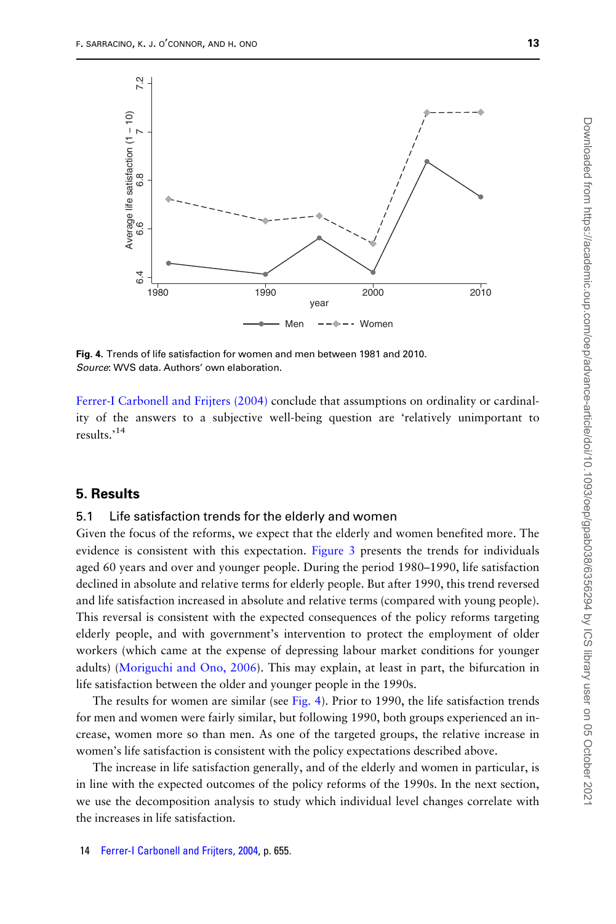<span id="page-12-0"></span>

Fig. 4. Trends of life satisfaction for women and men between 1981 and 2010. Source: WVS data. Authors' own elaboration.

[Ferrer-I Carbonell and Frijters \(2004\)](#page-22-0) conclude that assumptions on ordinality or cardinality of the answers to a subjective well-being question are 'relatively unimportant to results.'14

# 5. Results

#### 5.1 Life satisfaction trends for the elderly and women

Given the focus of the reforms, we expect that the elderly and women benefited more. The evidence is consistent with this expectation. [Figure 3](#page-11-0) presents the trends for individuals aged 60 years and over and younger people. During the period 1980–1990, life satisfaction declined in absolute and relative terms for elderly people. But after 1990, this trend reversed and life satisfaction increased in absolute and relative terms (compared with young people). This reversal is consistent with the expected consequences of the policy reforms targeting elderly people, and with government's intervention to protect the employment of older workers (which came at the expense of depressing labour market conditions for younger adults) [\(Moriguchi and Ono, 2006](#page-23-0)). This may explain, at least in part, the bifurcation in life satisfaction between the older and younger people in the 1990s.

The results for women are similar (see Fig. 4). Prior to 1990, the life satisfaction trends for men and women were fairly similar, but following 1990, both groups experienced an increase, women more so than men. As one of the targeted groups, the relative increase in women's life satisfaction is consistent with the policy expectations described above.

The increase in life satisfaction generally, and of the elderly and women in particular, is in line with the expected outcomes of the policy reforms of the 1990s. In the next section, we use the decomposition analysis to study which individual level changes correlate with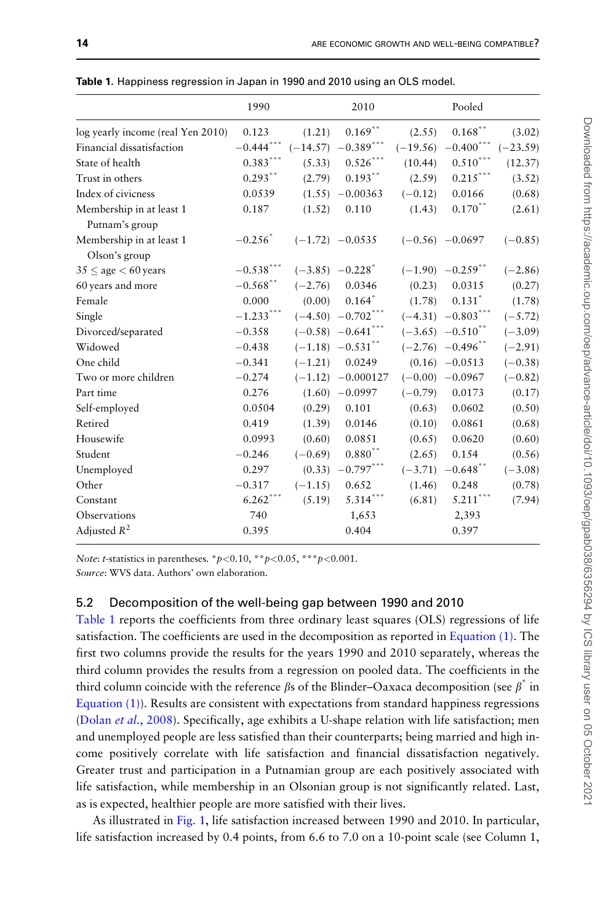|                                   | 1990          |            | 2010                              |            | Pooled                           |            |
|-----------------------------------|---------------|------------|-----------------------------------|------------|----------------------------------|------------|
| log yearly income (real Yen 2010) | 0.123         | (1.21)     | $0.169***$                        | (2.55)     | $0.168\sp{^\ast}$                | (3.02)     |
| Financial dissatisfaction         | $-0.444$ ***  | $(-14.57)$ | $-0.389$ ***                      | $(-19.56)$ | $-0.400$ ***                     | $(-23.59)$ |
| State of health                   | $0.383***$    | (5.33)     | 0.526                             | (10.44)    | $0.510***$                       | (12.37)    |
| Trust in others                   | $0.293$ **    | (2.79)     | $0.193$ **                        | (2.59)     | $0.215***$                       | (3.52)     |
| Index of civicness                | 0.0539        | (1.55)     | $-0.00363$                        | $(-0.12)$  | 0.0166                           | (0.68)     |
| Membership in at least 1          | 0.187         | (1.52)     | 0.110                             | (1.43)     | $0.170***$                       | (2.61)     |
| Putnam's group                    |               |            |                                   |            |                                  |            |
| Membership in at least 1          | $-0.256^{''}$ |            | $(-1.72)$ $-0.0535$               |            | $(-0.56)$ $-0.0697$              | $(-0.85)$  |
| Olson's group                     |               |            |                                   |            |                                  |            |
| $35 \le$ age $< 60$ years         | $-0.538$ ***  |            | $(-3.85)$ $-0.228$ <sup>*</sup>   |            | $(-1.90)$ $-0.259$ **            | $(-2.86)$  |
| 60 years and more                 | $-0.568$ **   | $(-2.76)$  | 0.0346                            | (0.23)     | 0.0315                           | (0.27)     |
| Female                            | 0.000         | (0.00)     | 0.164                             | (1.78)     | 0.131                            | (1.78)     |
| Single                            | $-1.233***$   |            | $(-4.50)$ $-0.702$ <sup>***</sup> |            | $(-4.31)$ $-0.803$ ***           | $(-5.72)$  |
| Divorced/separated                | $-0.358$      |            | $(-0.58)$ $-0.641$ ***            |            | $(-3.65)$ $-0.510$ <sup>**</sup> | $(-3.09)$  |
| Widowed                           | $-0.438$      |            | $(-1.18)$ $-0.531$ <sup>**</sup>  |            | $(-2.76)$ $-0.496$ **            | $(-2.91)$  |
| One child                         | $-0.341$      | $(-1.21)$  | 0.0249                            |            | $(0.16)$ $-0.0513$               | $(-0.38)$  |
| Two or more children              | $-0.274$      |            | $(-1.12)$ $-0.000127$             |            | $(-0.00)$ $-0.0967$              | $(-0.82)$  |
| Part time                         | 0.276         |            | $(1.60)$ -0.0997                  | $(-0.79)$  | 0.0173                           | (0.17)     |
| Self-employed                     | 0.0504        | (0.29)     | 0.101                             | (0.63)     | 0.0602                           | (0.50)     |
| Retired                           | 0.419         | (1.39)     | 0.0146                            | (0.10)     | 0.0861                           | (0.68)     |
| Housewife                         | 0.0993        | (0.60)     | 0.0851                            | (0.65)     | 0.0620                           | (0.60)     |
| Student                           | $-0.246$      | $(-0.69)$  | $0.880$ **                        | (2.65)     | 0.154                            | (0.56)     |
| Unemployed                        | 0.297         |            | $(0.33)$ $-0.797$ ***             | $(-3.71)$  | $-0.648$ **                      | $(-3.08)$  |
| Other                             | $-0.317$      | $(-1.15)$  | 0.652                             | (1.46)     | 0.248                            | (0.78)     |
| Constant                          | $6.262$ ***   | (5.19)     | 5.314***                          | (6.81)     | $5.211***$                       | (7.94)     |
| Observations                      | 740           |            | 1,653                             |            | 2,393                            |            |
| Adjusted $R^2$                    | 0.395         |            | 0.404                             |            | 0.397                            |            |

<span id="page-13-0"></span>Table 1. Happiness regression in Japan in 1990 and 2010 using an OLS model.

Note: t-statistics in parentheses.  $p < 0.10$ ,  $p < 0.05$ ,  $p < 0.001$ . Source: WVS data. Authors' own elaboration.

5.2 Decomposition of the well-being gap between 1990 and 2010

Table 1 reports the coefficients from three ordinary least squares (OLS) regressions of life satisfaction. The coefficients are used in the decomposition as reported in [Equation \(1\).](#page-11-0) The first two columns provide the results for the years 1990 and 2010 separately, whereas the third column provides the results from a regression on pooled data. The coefficients in the third column coincide with the reference  $\beta s$  of the Blinder–Oaxaca decomposition (see  $\beta^*$  in [Equation \(1\)\)](#page-11-0). Results are consistent with expectations from standard happiness regressions (Dolan et al.[, 2008](#page-22-0)). Specifically, age exhibits a U-shape relation with life satisfaction; men and unemployed people are less satisfied than their counterparts; being married and high income positively correlate with life satisfaction and financial dissatisfaction negatively. Greater trust and participation in a Putnamian group are each positively associated with life satisfaction, while membership in an Olsonian group is not significantly related. Last, as is expected, healthier people are more satisfied with their lives.

As illustrated in [Fig. 1,](#page-2-0) life satisfaction increased between 1990 and 2010. In particular, life satisfaction increased by 0.4 points, from 6.6 to 7.0 on a 10-point scale (see Column 1,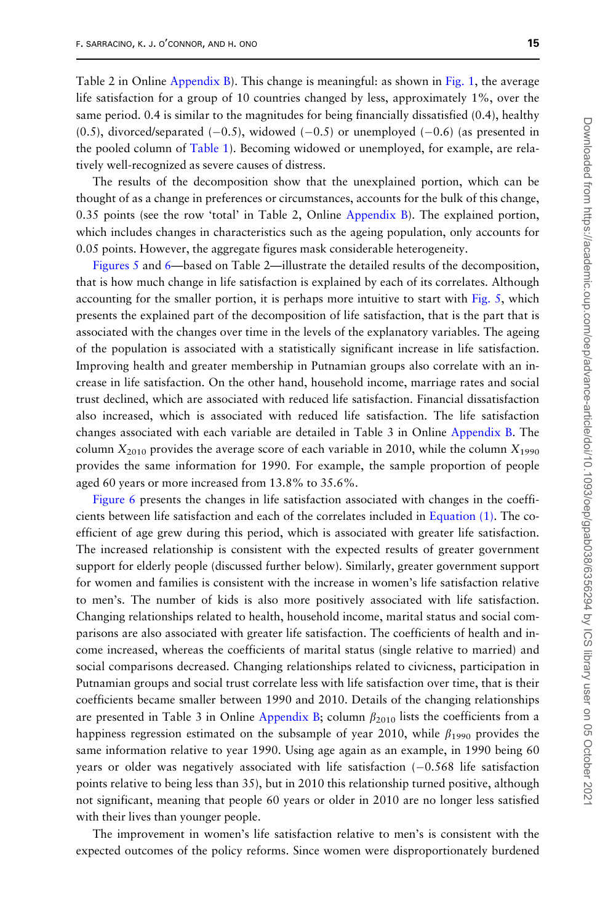Table 2 in Online Appendix B). This change is meaningful: as shown in [Fig. 1](#page-2-0), the average life satisfaction for a group of 10 countries changed by less, approximately 1%, over the same period. 0.4 is similar to the magnitudes for being financially dissatisfied (0.4), healthy  $(0.5)$ , divorced/separated  $(-0.5)$ , widowed  $(-0.5)$  or unemployed  $(-0.6)$  (as presented in the pooled column of [Table 1\)](#page-13-0). Becoming widowed or unemployed, for example, are relatively well-recognized as severe causes of distress.

The results of the decomposition show that the unexplained portion, which can be thought of as a change in preferences or circumstances, accounts for the bulk of this change, 0.35 points (see the row 'total' in Table 2, Online Appendix B). The explained portion, which includes changes in characteristics such as the ageing population, only accounts for 0.05 points. However, the aggregate figures mask considerable heterogeneity.

[Figures 5](#page-15-0) and [6](#page-15-0)—based on Table 2—illustrate the detailed results of the decomposition, that is how much change in life satisfaction is explained by each of its correlates. Although accounting for the smaller portion, it is perhaps more intuitive to start with [Fig. 5](#page-15-0), which presents the explained part of the decomposition of life satisfaction, that is the part that is associated with the changes over time in the levels of the explanatory variables. The ageing of the population is associated with a statistically significant increase in life satisfaction. Improving health and greater membership in Putnamian groups also correlate with an increase in life satisfaction. On the other hand, household income, marriage rates and social trust declined, which are associated with reduced life satisfaction. Financial dissatisfaction also increased, which is associated with reduced life satisfaction. The life satisfaction changes associated with each variable are detailed in Table 3 in Online Appendix B. The column  $X_{2010}$  provides the average score of each variable in 2010, while the column  $X_{1990}$ provides the same information for 1990. For example, the sample proportion of people aged 60 years or more increased from 13.8% to 35.6%.

[Figure 6](#page-15-0) presents the changes in life satisfaction associated with changes in the coefficients between life satisfaction and each of the correlates included in [Equation \(1\).](#page-11-0) The coefficient of age grew during this period, which is associated with greater life satisfaction. The increased relationship is consistent with the expected results of greater government support for elderly people (discussed further below). Similarly, greater government support for women and families is consistent with the increase in women's life satisfaction relative to men's. The number of kids is also more positively associated with life satisfaction. Changing relationships related to health, household income, marital status and social comparisons are also associated with greater life satisfaction. The coefficients of health and income increased, whereas the coefficients of marital status (single relative to married) and social comparisons decreased. Changing relationships related to civicness, participation in Putnamian groups and social trust correlate less with life satisfaction over time, that is their coefficients became smaller between 1990 and 2010. Details of the changing relationships are presented in Table 3 in Online Appendix B; column  $\beta_{2010}$  lists the coefficients from a happiness regression estimated on the subsample of year 2010, while  $\beta_{1990}$  provides the same information relative to year 1990. Using age again as an example, in 1990 being 60 years or older was negatively associated with life satisfaction  $(-0.568)$  life satisfaction points relative to being less than 35), but in 2010 this relationship turned positive, although not significant, meaning that people 60 years or older in 2010 are no longer less satisfied with their lives than younger people.

The improvement in women's life satisfaction relative to men's is consistent with the expected outcomes of the policy reforms. Since women were disproportionately burdened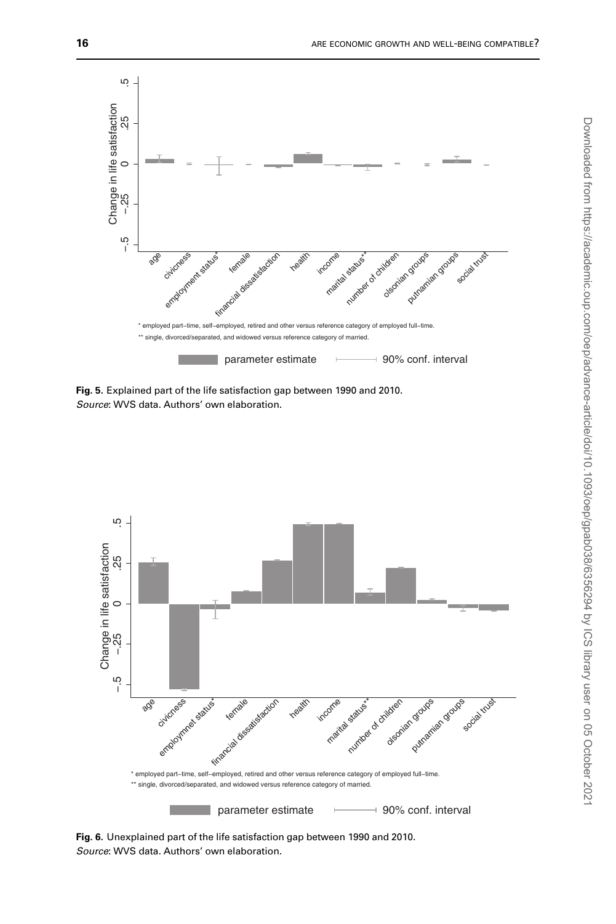<span id="page-15-0"></span>

Fig. 5. Explained part of the life satisfaction gap between 1990 and 2010. Source: WVS data. Authors' own elaboration.



Fig. 6. Unexplained part of the life satisfaction gap between 1990 and 2010. Source: WVS data. Authors' own elaboration.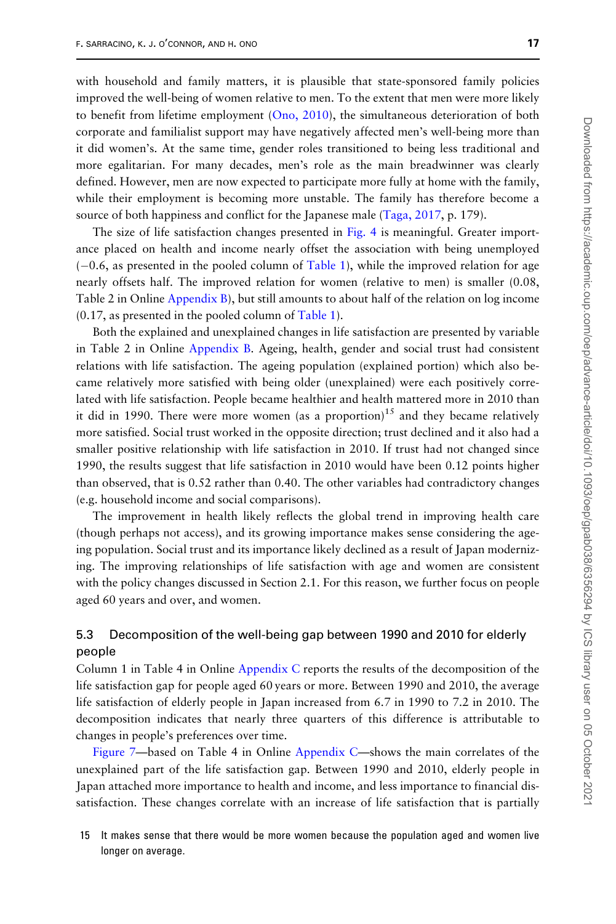with household and family matters, it is plausible that state-sponsored family policies improved the well-being of women relative to men. To the extent that men were more likely to benefit from lifetime employment ([Ono, 2010](#page-23-0)), the simultaneous deterioration of both corporate and familialist support may have negatively affected men's well-being more than it did women's. At the same time, gender roles transitioned to being less traditional and more egalitarian. For many decades, men's role as the main breadwinner was clearly defined. However, men are now expected to participate more fully at home with the family, while their employment is becoming more unstable. The family has therefore become a source of both happiness and conflict for the Japanese male [\(Taga, 2017,](#page-24-0) p. 179).

The size of life satisfaction changes presented in [Fig. 4](#page-12-0) is meaningful. Greater importance placed on health and income nearly offset the association with being unemployed  $(-0.6,$  as presented in the pooled column of [Table 1\)](#page-13-0), while the improved relation for age nearly offsets half. The improved relation for women (relative to men) is smaller (0.08, Table 2 in Online Appendix B), but still amounts to about half of the relation on log income (0.17, as presented in the pooled column of [Table 1\)](#page-13-0).

Both the explained and unexplained changes in life satisfaction are presented by variable in Table 2 in Online Appendix B. Ageing, health, gender and social trust had consistent relations with life satisfaction. The ageing population (explained portion) which also became relatively more satisfied with being older (unexplained) were each positively correlated with life satisfaction. People became healthier and health mattered more in 2010 than it did in 1990. There were more women (as a proportion)<sup>15</sup> and they became relatively more satisfied. Social trust worked in the opposite direction; trust declined and it also had a smaller positive relationship with life satisfaction in 2010. If trust had not changed since 1990, the results suggest that life satisfaction in 2010 would have been 0.12 points higher than observed, that is 0.52 rather than 0.40. The other variables had contradictory changes (e.g. household income and social comparisons).

The improvement in health likely reflects the global trend in improving health care (though perhaps not access), and its growing importance makes sense considering the ageing population. Social trust and its importance likely declined as a result of Japan modernizing. The improving relationships of life satisfaction with age and women are consistent with the policy changes discussed in Section 2.1. For this reason, we further focus on people aged 60 years and over, and women.

# 5.3 Decomposition of the well-being gap between 1990 and 2010 for elderly people

Column 1 in Table 4 in Online Appendix C reports the results of the decomposition of the life satisfaction gap for people aged 60 years or more. Between 1990 and 2010, the average life satisfaction of elderly people in Japan increased from 6.7 in 1990 to 7.2 in 2010. The decomposition indicates that nearly three quarters of this difference is attributable to changes in people's preferences over time.

[Figure 7—](#page-17-0)based on Table 4 in Online Appendix C—shows the main correlates of the unexplained part of the life satisfaction gap. Between 1990 and 2010, elderly people in Japan attached more importance to health and income, and less importance to financial dissatisfaction. These changes correlate with an increase of life satisfaction that is partially

15 It makes sense that there would be more women because the population aged and women live longer on average.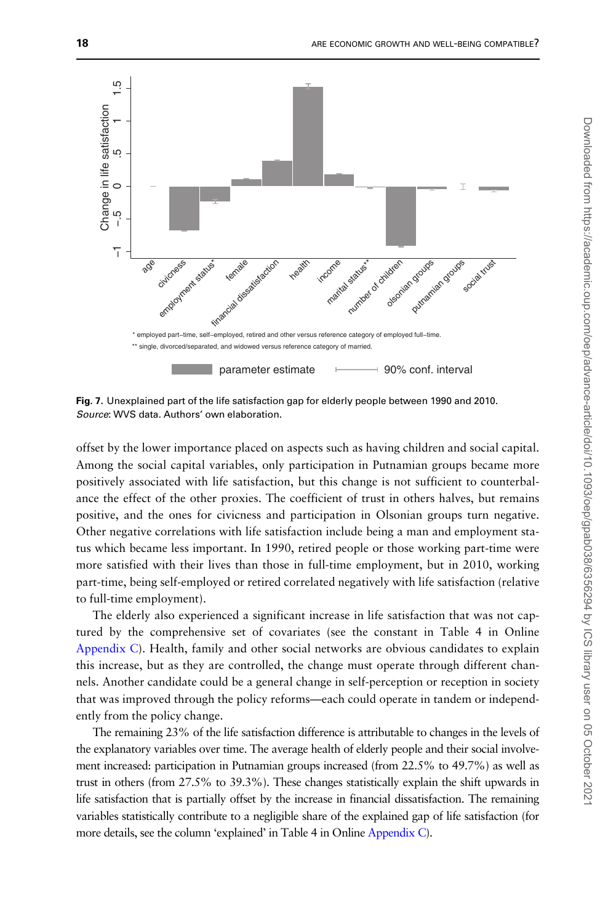<span id="page-17-0"></span>

Fig. 7. Unexplained part of the life satisfaction gap for elderly people between 1990 and 2010. Source: WVS data. Authors' own elaboration.

offset by the lower importance placed on aspects such as having children and social capital. Among the social capital variables, only participation in Putnamian groups became more positively associated with life satisfaction, but this change is not sufficient to counterbalance the effect of the other proxies. The coefficient of trust in others halves, but remains positive, and the ones for civicness and participation in Olsonian groups turn negative. Other negative correlations with life satisfaction include being a man and employment status which became less important. In 1990, retired people or those working part-time were more satisfied with their lives than those in full-time employment, but in 2010, working part-time, being self-employed or retired correlated negatively with life satisfaction (relative to full-time employment).

The elderly also experienced a significant increase in life satisfaction that was not captured by the comprehensive set of covariates (see the constant in Table 4 in Online Appendix C). Health, family and other social networks are obvious candidates to explain this increase, but as they are controlled, the change must operate through different channels. Another candidate could be a general change in self-perception or reception in society that was improved through the policy reforms—each could operate in tandem or independently from the policy change.

The remaining 23% of the life satisfaction difference is attributable to changes in the levels of the explanatory variables over time. The average health of elderly people and their social involvement increased: participation in Putnamian groups increased (from 22.5% to 49.7%) as well as trust in others (from 27.5% to 39.3%). These changes statistically explain the shift upwards in life satisfaction that is partially offset by the increase in financial dissatisfaction. The remaining variables statistically contribute to a negligible share of the explained gap of life satisfaction (for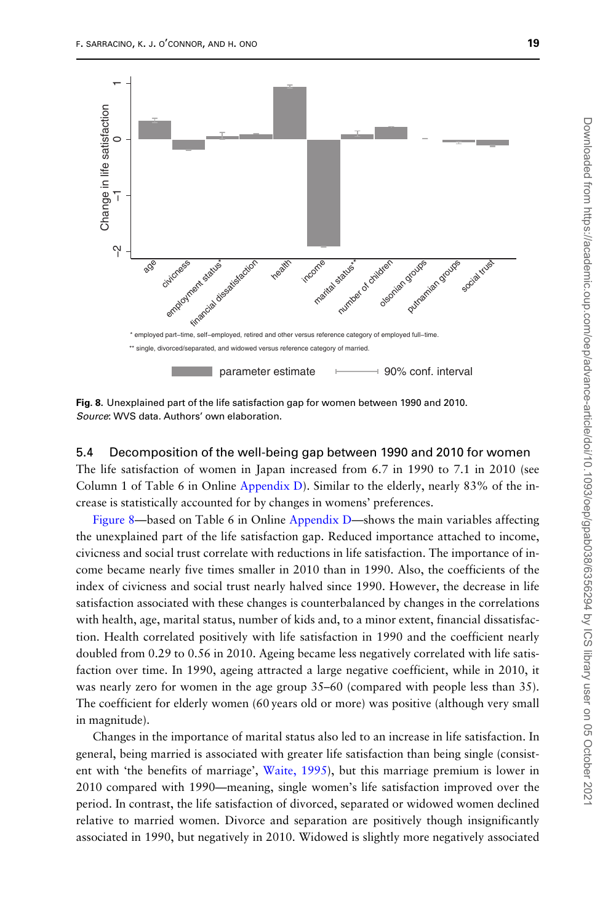

Fig. 8. Unexplained part of the life satisfaction gap for women between 1990 and 2010. Source: WVS data. Authors' own elaboration.

#### 5.4 Decomposition of the well-being gap between 1990 and 2010 for women

The life satisfaction of women in Japan increased from 6.7 in 1990 to 7.1 in 2010 (see Column 1 of Table 6 in Online Appendix D). Similar to the elderly, nearly 83% of the increase is statistically accounted for by changes in womens' preferences.

Figure 8—based on Table 6 in Online Appendix D—shows the main variables affecting the unexplained part of the life satisfaction gap. Reduced importance attached to income, civicness and social trust correlate with reductions in life satisfaction. The importance of income became nearly five times smaller in 2010 than in 1990. Also, the coefficients of the index of civicness and social trust nearly halved since 1990. However, the decrease in life satisfaction associated with these changes is counterbalanced by changes in the correlations with health, age, marital status, number of kids and, to a minor extent, financial dissatisfaction. Health correlated positively with life satisfaction in 1990 and the coefficient nearly doubled from 0.29 to 0.56 in 2010. Ageing became less negatively correlated with life satisfaction over time. In 1990, ageing attracted a large negative coefficient, while in 2010, it was nearly zero for women in the age group 35–60 (compared with people less than 35). The coefficient for elderly women (60 years old or more) was positive (although very small in magnitude).

Changes in the importance of marital status also led to an increase in life satisfaction. In general, being married is associated with greater life satisfaction than being single (consistent with 'the benefits of marriage', [Waite, 1995](#page-24-0)), but this marriage premium is lower in 2010 compared with 1990—meaning, single women's life satisfaction improved over the period. In contrast, the life satisfaction of divorced, separated or widowed women declined relative to married women. Divorce and separation are positively though insignificantly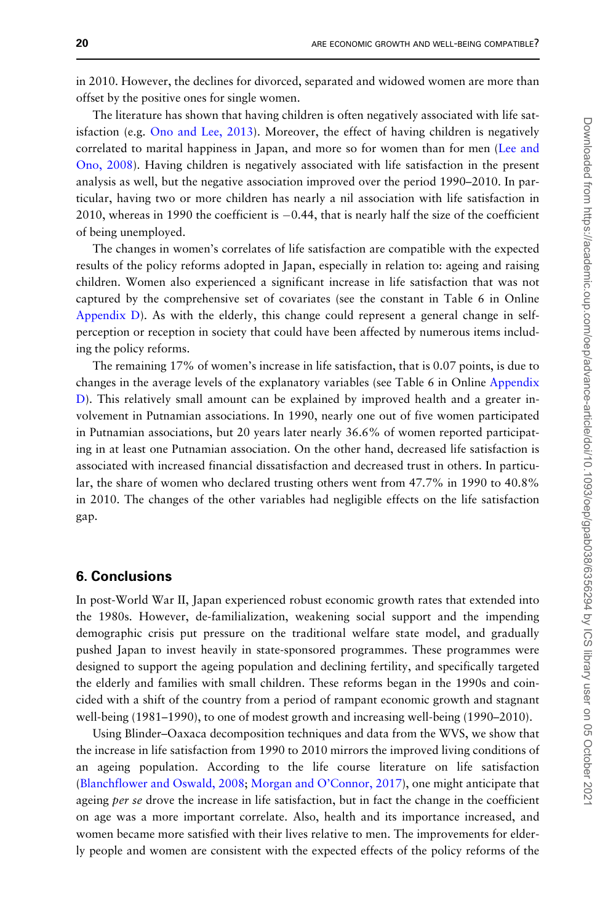in 2010. However, the declines for divorced, separated and widowed women are more than offset by the positive ones for single women.

The literature has shown that having children is often negatively associated with life satisfaction (e.g. [Ono and Lee, 2013\)](#page-23-0). Moreover, the effect of having children is negatively correlated to marital happiness in Japan, and more so for women than for men [\(Lee and](#page-23-0) [Ono, 2008\)](#page-23-0). Having children is negatively associated with life satisfaction in the present analysis as well, but the negative association improved over the period 1990–2010. In particular, having two or more children has nearly a nil association with life satisfaction in 2010, whereas in 1990 the coefficient is  $-0.44$ , that is nearly half the size of the coefficient of being unemployed.

The changes in women's correlates of life satisfaction are compatible with the expected results of the policy reforms adopted in Japan, especially in relation to: ageing and raising children. Women also experienced a significant increase in life satisfaction that was not captured by the comprehensive set of covariates (see the constant in Table 6 in Online Appendix D). As with the elderly, this change could represent a general change in selfperception or reception in society that could have been affected by numerous items including the policy reforms.

The remaining 17% of women's increase in life satisfaction, that is 0.07 points, is due to changes in the average levels of the explanatory variables (see Table 6 in Online Appendix D). This relatively small amount can be explained by improved health and a greater involvement in Putnamian associations. In 1990, nearly one out of five women participated in Putnamian associations, but 20 years later nearly 36.6% of women reported participating in at least one Putnamian association. On the other hand, decreased life satisfaction is associated with increased financial dissatisfaction and decreased trust in others. In particular, the share of women who declared trusting others went from 47.7% in 1990 to 40.8% in 2010. The changes of the other variables had negligible effects on the life satisfaction gap.

# 6. Conclusions

In post-World War II, Japan experienced robust economic growth rates that extended into the 1980s. However, de-familialization, weakening social support and the impending demographic crisis put pressure on the traditional welfare state model, and gradually pushed Japan to invest heavily in state-sponsored programmes. These programmes were designed to support the ageing population and declining fertility, and specifically targeted the elderly and families with small children. These reforms began in the 1990s and coincided with a shift of the country from a period of rampant economic growth and stagnant well-being (1981–1990), to one of modest growth and increasing well-being (1990–2010).

Using Blinder–Oaxaca decomposition techniques and data from the WVS, we show that the increase in life satisfaction from 1990 to 2010 mirrors the improved living conditions of an ageing population. According to the life course literature on life satisfaction [\(Blanchflower and Oswald, 2008;](#page-21-0) [Morgan and O'Connor, 2017\)](#page-23-0), one might anticipate that ageing per se drove the increase in life satisfaction, but in fact the change in the coefficient on age was a more important correlate. Also, health and its importance increased, and women became more satisfied with their lives relative to men. The improvements for elderly people and women are consistent with the expected effects of the policy reforms of the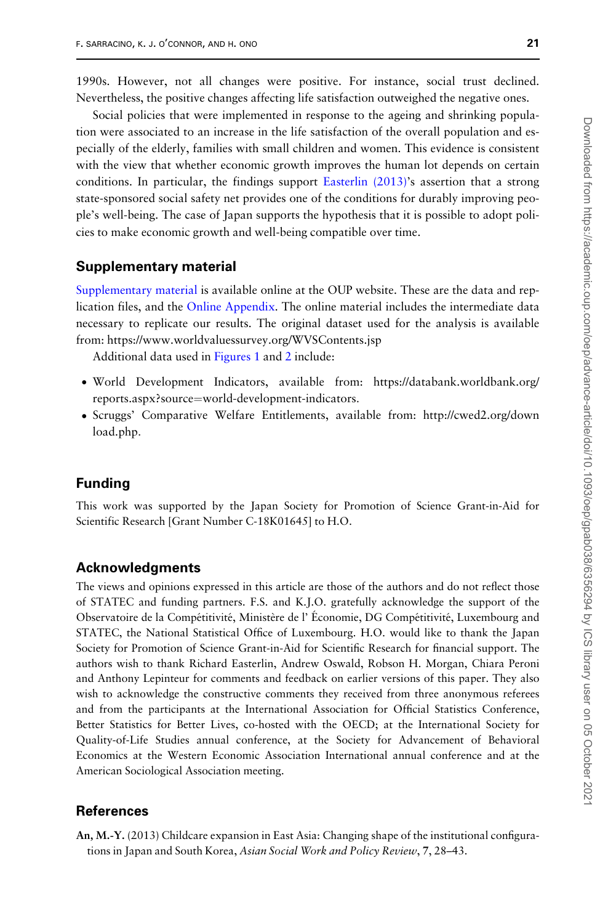<span id="page-20-0"></span>1990s. However, not all changes were positive. For instance, social trust declined. Nevertheless, the positive changes affecting life satisfaction outweighed the negative ones.

Social policies that were implemented in response to the ageing and shrinking population were associated to an increase in the life satisfaction of the overall population and especially of the elderly, families with small children and women. This evidence is consistent with the view that whether economic growth improves the human lot depends on certain conditions. In particular, the findings support [Easterlin \(2013\)'](#page-22-0)s assertion that a strong state-sponsored social safety net provides one of the conditions for durably improving people's well-being. The case of Japan supports the hypothesis that it is possible to adopt policies to make economic growth and well-being compatible over time.

# Supplementary material

[Supplementary material](https://academic.oup.com/oep/article-lookup/doi/10.1093/oep/gpab038#supplementary-data) is available online at the OUP website. These are the data and replication files, and the [Online Appendix.](https://academic.oup.com/oep/article-lookup/doi/10.1093/oep/gpab038#supplementary-data) The online material includes the intermediate data necessary to replicate our results. The original dataset used for the analysis is available from:<https://www.worldvaluessurvey.org/WVSContents.jsp>

Additional data used in [Figures 1](#page-2-0) and [2](#page-3-0) include:

- World Development Indicators, available from: [https://databank.worldbank.org/](https://databank.worldbank.org/reports.aspx?source=world-development-indicators) [reports.aspx?source](https://databank.worldbank.org/reports.aspx?source=world-development-indicators)=[world-development-indicators](https://databank.worldbank.org/reports.aspx?source=world-development-indicators).
- Scruggs' Comparative Welfare Entitlements, available from: [http://cwed2.org/down](http://cwed2.org/download.php) [load.php](http://cwed2.org/download.php).

## Funding

This work was supported by the Japan Society for Promotion of Science Grant-in-Aid for Scientific Research [Grant Number C-18K01645] to H.O.

# Acknowledgments

The views and opinions expressed in this article are those of the authors and do not reflect those of STATEC and funding partners. F.S. and K.J.O. gratefully acknowledge the support of the Observatoire de la Compétitivité, Ministère de l' Economie, DG Compétitivité, Luxembourg and STATEC, the National Statistical Office of Luxembourg. H.O. would like to thank the Japan Society for Promotion of Science Grant-in-Aid for Scientific Research for financial support. The authors wish to thank Richard Easterlin, Andrew Oswald, Robson H. Morgan, Chiara Peroni and Anthony Lepinteur for comments and feedback on earlier versions of this paper. They also wish to acknowledge the constructive comments they received from three anonymous referees and from the participants at the International Association for Official Statistics Conference, Better Statistics for Better Lives, co-hosted with the OECD; at the International Society for Quality-of-Life Studies annual conference, at the Society for Advancement of Behavioral Economics at the Western Economic Association International annual conference and at the American Sociological Association meeting.

# **References**

An, M.-Y. (2013) Childcare expansion in East Asia: Changing shape of the institutional configurations in Japan and South Korea, Asian Social Work and Policy Review, 7, 28–43.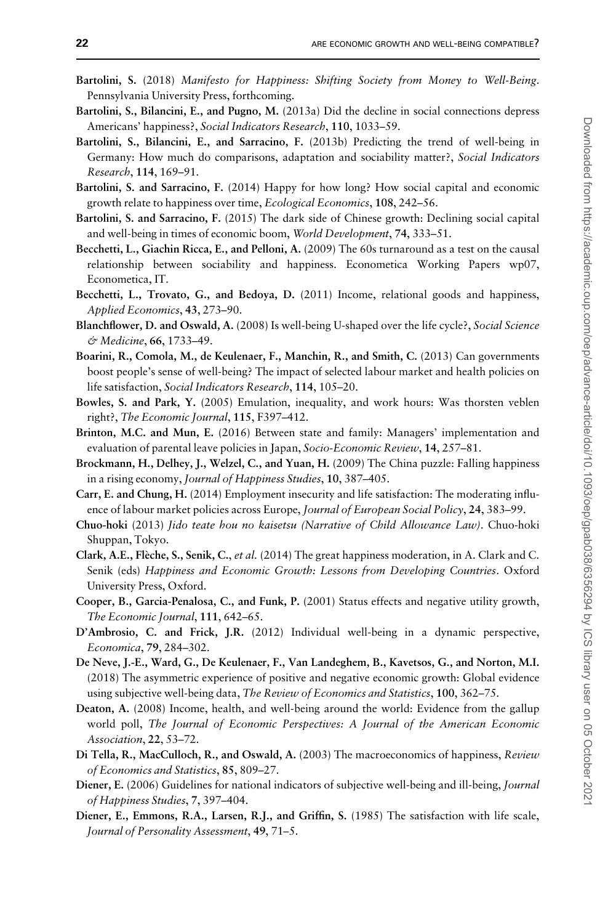- <span id="page-21-0"></span>Bartolini, S. (2018) Manifesto for Happiness: Shifting Society from Money to Well-Being. Pennsylvania University Press, forthcoming.
- Bartolini, S., Bilancini, E., and Pugno, M. (2013a) Did the decline in social connections depress Americans' happiness?, Social Indicators Research, 110, 1033–59.
- Bartolini, S., Bilancini, E., and Sarracino, F. (2013b) Predicting the trend of well-being in Germany: How much do comparisons, adaptation and sociability matter?, Social Indicators Research, 114, 169–91.
- Bartolini, S. and Sarracino, F. (2014) Happy for how long? How social capital and economic growth relate to happiness over time, Ecological Economics, 108, 242–56.
- Bartolini, S. and Sarracino, F. (2015) The dark side of Chinese growth: Declining social capital and well-being in times of economic boom, World Development, 74, 333–51.
- Becchetti, L., Giachin Ricca, E., and Pelloni, A. (2009) The 60s turnaround as a test on the causal relationship between sociability and happiness. Econometica Working Papers wp07, Econometica, IT.
- Becchetti, L., Trovato, G., and Bedova, D. (2011) Income, relational goods and happiness, Applied Economics, 43, 273–90.
- Blanchflower, D. and Oswald, A. (2008) Is well-being U-shaped over the life cycle?, Social Science & Medicine, 66, 1733–49.
- Boarini, R., Comola, M., de Keulenaer, F., Manchin, R., and Smith, C. (2013) Can governments boost people's sense of well-being? The impact of selected labour market and health policies on life satisfaction, Social Indicators Research, 114, 105–20.
- Bowles, S. and Park, Y. (2005) Emulation, inequality, and work hours: Was thorsten veblen right?, The Economic Journal, 115, F397–412.
- Brinton, M.C. and Mun, E. (2016) Between state and family: Managers' implementation and evaluation of parental leave policies in Japan, Socio-Economic Review, 14, 257–81.
- Brockmann, H., Delhey, J., Welzel, C., and Yuan, H. (2009) The China puzzle: Falling happiness in a rising economy, Journal of Happiness Studies, 10, 387–405.
- Carr, E. and Chung, H. (2014) Employment insecurity and life satisfaction: The moderating influence of labour market policies across Europe, Journal of European Social Policy, 24, 383-99.
- Chuo-hoki (2013) Jido teate hou no kaisetsu (Narrative of Child Allowance Law). Chuo-hoki Shuppan, Tokyo.
- Clark, A.E., Flèche, S., Senik, C., et al. (2014) The great happiness moderation, in A. Clark and C. Senik (eds) Happiness and Economic Growth: Lessons from Developing Countries. Oxford University Press, Oxford.
- Cooper, B., Garcia-Penalosa, C., and Funk, P. (2001) Status effects and negative utility growth, The Economic Journal, 111, 642–65.
- D'Ambrosio, C. and Frick, J.R. (2012) Individual well-being in a dynamic perspective, Economica, 79, 284–302.
- De Neve, J.-E., Ward, G., De Keulenaer, F., Van Landeghem, B., Kavetsos, G., and Norton, M.I. (2018) The asymmetric experience of positive and negative economic growth: Global evidence using subjective well-being data, The Review of Economics and Statistics, 100, 362–75.
- Deaton, A. (2008) Income, health, and well-being around the world: Evidence from the gallup world poll, The Journal of Economic Perspectives: A Journal of the American Economic Association, 22, 53–72.
- Di Tella, R., MacCulloch, R., and Oswald, A. (2003) The macroeconomics of happiness, Review of Economics and Statistics, 85, 809–27.
- Diener, E. (2006) Guidelines for national indicators of subjective well-being and ill-being, Journal of Happiness Studies, 7, 397–404.
- Diener, E., Emmons, R.A., Larsen, R.J., and Griffin, S. (1985) The satisfaction with life scale, Journal of Personality Assessment, 49, 71–5.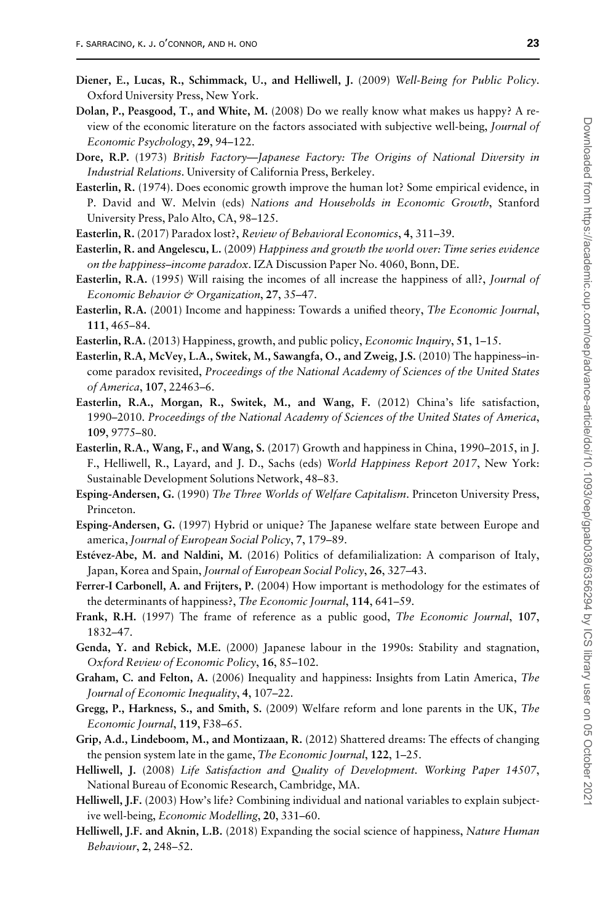- <span id="page-22-0"></span>Diener, E., Lucas, R., Schimmack, U., and Helliwell, J. (2009) Well-Being for Public Policy. Oxford University Press, New York.
- Dolan, P., Peasgood, T., and White, M. (2008) Do we really know what makes us happy? A review of the economic literature on the factors associated with subjective well-being, Journal of Economic Psychology, 29, 94–122.
- Dore, R.P. (1973) British Factory-Japanese Factory: The Origins of National Diversity in Industrial Relations. University of California Press, Berkeley.
- Easterlin, R. (1974). Does economic growth improve the human lot? Some empirical evidence, in P. David and W. Melvin (eds) Nations and Households in Economic Growth, Stanford University Press, Palo Alto, CA, 98–125.
- Easterlin, R. (2017) Paradox lost?, Review of Behavioral Economics, 4, 311–39.
- Easterlin, R. and Angelescu, L. (2009) Happiness and growth the world over: Time series evidence on the happiness–income paradox. IZA Discussion Paper No. 4060, Bonn, DE.
- Easterlin, R.A. (1995) Will raising the incomes of all increase the happiness of all?, Journal of Economic Behavior & Organization, 27, 35-47.
- Easterlin, R.A. (2001) Income and happiness: Towards a unified theory, The Economic Journal, 111, 465–84.
- Easterlin, R.A. (2013) Happiness, growth, and public policy, Economic Inquiry, 51, 1–15.
- Easterlin, R.A, McVey, L.A., Switek, M., Sawangfa, O., and Zweig, J.S. (2010) The happiness–income paradox revisited, Proceedings of the National Academy of Sciences of the United States of America, 107, 22463–6.
- Easterlin, R.A., Morgan, R., Switek, M., and Wang, F. (2012) China's life satisfaction, 1990–2010. Proceedings of the National Academy of Sciences of the United States of America, 109, 9775–80.
- Easterlin, R.A., Wang, F., and Wang, S. (2017) Growth and happiness in China, 1990–2015, in J. F., Helliwell, R., Layard, and J. D., Sachs (eds) World Happiness Report 2017, New York: Sustainable Development Solutions Network, 48–83.
- Esping-Andersen, G. (1990) The Three Worlds of Welfare Capitalism. Princeton University Press, Princeton.
- Esping-Andersen, G. (1997) Hybrid or unique? The Japanese welfare state between Europe and america, Journal of European Social Policy, 7, 179–89.
- Estévez-Abe, M. and Naldini, M.  $(2016)$  Politics of defamilialization: A comparison of Italy, Japan, Korea and Spain, Journal of European Social Policy, 26, 327–43.
- Ferrer-I Carbonell, A. and Frijters, P. (2004) How important is methodology for the estimates of the determinants of happiness?, The Economic Journal, 114, 641–59.
- Frank, R.H. (1997) The frame of reference as a public good, The Economic Journal, 107, 1832–47.
- Genda, Y. and Rebick, M.E. (2000) Japanese labour in the 1990s: Stability and stagnation, Oxford Review of Economic Policy, 16, 85–102.
- Graham, C. and Felton, A. (2006) Inequality and happiness: Insights from Latin America, The Journal of Economic Inequality, 4, 107–22.
- Gregg, P., Harkness, S., and Smith, S. (2009) Welfare reform and lone parents in the UK, The Economic Journal, 119, F38–65.
- Grip, A.d., Lindeboom, M., and Montizaan, R. (2012) Shattered dreams: The effects of changing the pension system late in the game, The Economic Journal, 122, 1–25.
- Helliwell, J. (2008) Life Satisfaction and Quality of Development. Working Paper 14507, National Bureau of Economic Research, Cambridge, MA.
- Helliwell, J.F. (2003) How's life? Combining individual and national variables to explain subjective well-being, Economic Modelling, 20, 331–60.
- Helliwell, J.F. and Aknin, L.B. (2018) Expanding the social science of happiness, Nature Human Behaviour, 2, 248–52.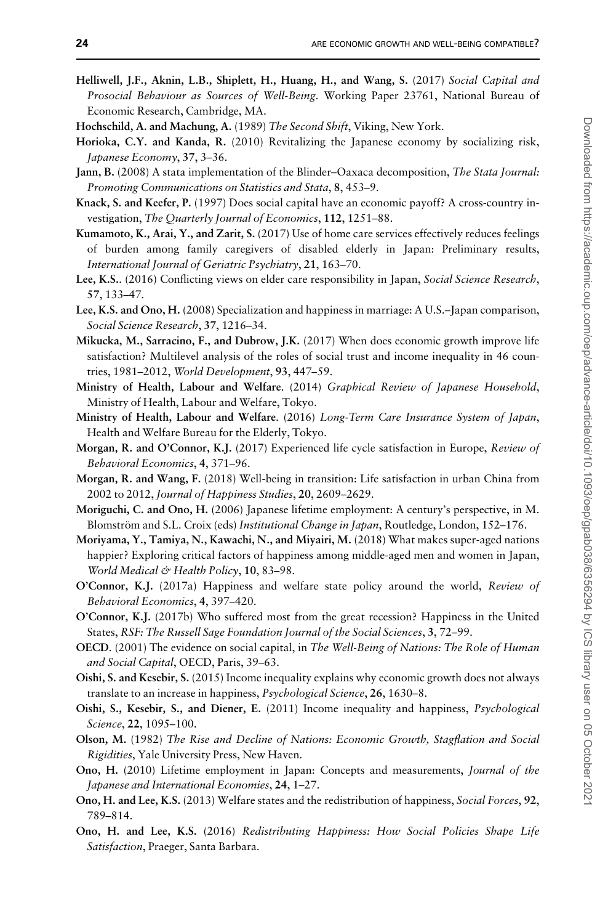- <span id="page-23-0"></span>Helliwell, J.F., Aknin, L.B., Shiplett, H., Huang, H., and Wang, S. (2017) Social Capital and Prosocial Behaviour as Sources of Well-Being. Working Paper 23761, National Bureau of Economic Research, Cambridge, MA.
- Hochschild, A. and Machung, A. (1989) The Second Shift, Viking, New York.
- Horioka, C.Y. and Kanda, R. (2010) Revitalizing the Japanese economy by socializing risk, Japanese Economy, 37, 3–36.
- Jann, B. (2008) A stata implementation of the Blinder–Oaxaca decomposition, The Stata Journal: Promoting Communications on Statistics and Stata, 8, 453–9.
- Knack, S. and Keefer, P. (1997) Does social capital have an economic payoff? A cross-country investigation, The Quarterly Journal of Economics, 112, 1251–88.
- Kumamoto, K., Arai, Y., and Zarit, S. (2017) Use of home care services effectively reduces feelings of burden among family caregivers of disabled elderly in Japan: Preliminary results, International Journal of Geriatric Psychiatry, 21, 163–70.
- Lee, K.S.. (2016) Conflicting views on elder care responsibility in Japan, Social Science Research, 57, 133–47.
- Lee, K.S. and Ono, H. (2008) Specialization and happiness in marriage: A U.S.–Japan comparison, Social Science Research, 37, 1216–34.
- Mikucka, M., Sarracino, F., and Dubrow, J.K. (2017) When does economic growth improve life satisfaction? Multilevel analysis of the roles of social trust and income inequality in 46 countries, 1981–2012, World Development, 93, 447–59.
- Ministry of Health, Labour and Welfare. (2014) Graphical Review of Japanese Household, Ministry of Health, Labour and Welfare, Tokyo.
- Ministry of Health, Labour and Welfare. (2016) Long-Term Care Insurance System of Japan, Health and Welfare Bureau for the Elderly, Tokyo.
- Morgan, R. and O'Connor, K.J. (2017) Experienced life cycle satisfaction in Europe, Review of Behavioral Economics, 4, 371–96.
- Morgan, R. and Wang, F. (2018) Well-being in transition: Life satisfaction in urban China from 2002 to 2012, Journal of Happiness Studies, 20, 2609–2629.
- Moriguchi, C. and Ono, H. (2006) Japanese lifetime employment: A century's perspective, in M. Blomström and S.L. Croix (eds) Institutional Change in Japan, Routledge, London, 152-176.
- Moriyama, Y., Tamiya, N., Kawachi, N., and Miyairi, M. (2018) What makes super-aged nations happier? Exploring critical factors of happiness among middle-aged men and women in Japan, World Medical & Health Policy, 10, 83-98.
- O'Connor, K.J. (2017a) Happiness and welfare state policy around the world, Review of Behavioral Economics, 4, 397–420.
- O'Connor, K.J. (2017b) Who suffered most from the great recession? Happiness in the United States, RSF: The Russell Sage Foundation Journal of the Social Sciences, 3, 72–99.
- OECD. (2001) The evidence on social capital, in The Well-Being of Nations: The Role of Human and Social Capital, OECD, Paris, 39–63.
- Oishi, S. and Kesebir, S. (2015) Income inequality explains why economic growth does not always translate to an increase in happiness, Psychological Science, 26, 1630–8.
- Oishi, S., Kesebir, S., and Diener, E. (2011) Income inequality and happiness, Psychological Science, 22, 1095–100.
- Olson, M. (1982) The Rise and Decline of Nations: Economic Growth, Stagflation and Social Rigidities, Yale University Press, New Haven.
- Ono, H. (2010) Lifetime employment in Japan: Concepts and measurements, Journal of the Japanese and International Economies, 24, 1–27.
- Ono, H. and Lee, K.S. (2013) Welfare states and the redistribution of happiness, Social Forces, 92, 789–814.
- Ono, H. and Lee, K.S. (2016) Redistributing Happiness: How Social Policies Shape Life Satisfaction, Praeger, Santa Barbara.